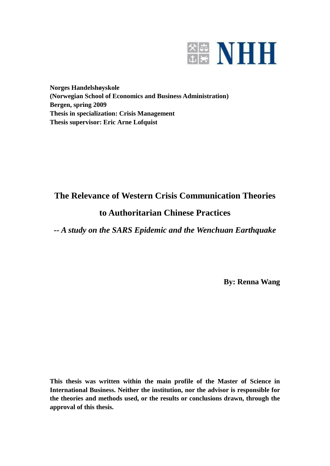

**Norges Handelshøyskole (Norwegian School of Economics and Business Administration) Bergen, spring 2009 Thesis in specialization: Crisis Management Thesis supervisor: Eric Arne Lofquist**

## **The Relevance of Western Crisis Communication Theories**

# **to Authoritarian Chinese Practices**

*-- A study on the SARS Epidemic and the Wenchuan Earthquake*

**By: Renna Wang**

**This thesis was written within the main profile of the Master of Science in International Business. Neither the institution, nor the advisor is responsible for the theories and methods used, or the results or conclusions drawn, through the approval of this thesis.**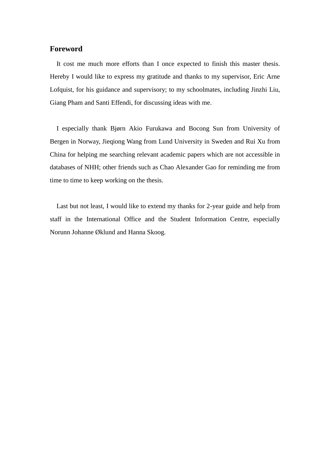### **Foreword**

It cost me much more efforts than I once expected to finish this master thesis. Hereby I would like to express my gratitude and thanks to my supervisor, Eric Arne Lofquist, for his guidance and supervisory; to my schoolmates, including Jinzhi Liu, Giang Pham and Santi Effendi, for discussing ideas with me.

I especially thank Bjørn Akio Furukawa and Bocong Sun from University of Bergen in Norway, Jieqiong Wang from Lund University in Sweden and Rui Xu from China for helping me searching relevant academic papers which are not accessible in databases of NHH; other friends such as Chao Alexander Gao for reminding me from time to time to keep working on the thesis.

Last but not least, I would like to extend my thanks for 2-year guide and help from staff in the International Office and the Student Information Centre, especially Norunn Johanne Øklund and Hanna Skoog.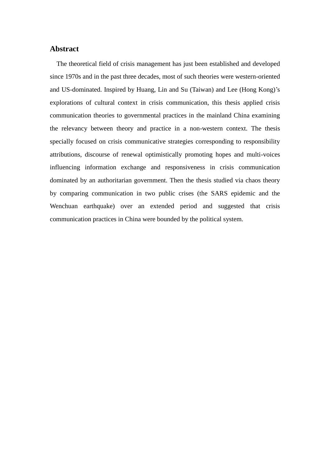#### **Abstract**

The theoretical field of crisis management has just been established and developed since 1970s and in the past three decades, most of such theories were western-oriented and US-dominated. Inspired by Huang, Lin and Su (Taiwan) and Lee (Hong Kong)'s explorations of cultural context in crisis communication, this thesis applied crisis communication theories to governmental practices in the mainland China examining the relevancy between theory and practice in a non-western context. The thesis specially focused on crisis communicative strategies corresponding to responsibility attributions, discourse of renewal optimistically promoting hopes and multi-voices influencing information exchange and responsiveness in crisis communication dominated by an authoritarian government. Then the thesis studied via chaos theory by comparing communication in two public crises (the SARS epidemic and the Wenchuan earthquake) over an extended period and suggested that crisis communication practices in China were bounded by the political system.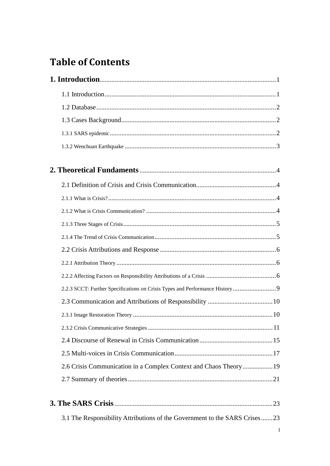# **Table of Contents**

| 2.6 Crisis Communication in a Complex Context and Chaos Theory19           |  |  |  |
|----------------------------------------------------------------------------|--|--|--|
|                                                                            |  |  |  |
|                                                                            |  |  |  |
| 3.1 The Responsibility Attributions of the Government to the SARS Crises23 |  |  |  |
| Ι                                                                          |  |  |  |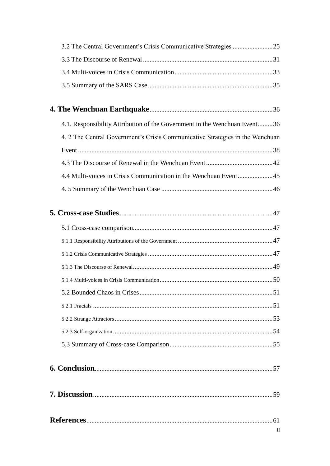| 4.1. Responsibility Attribution of the Government in the Wenchuan Event36     |  |  |
|-------------------------------------------------------------------------------|--|--|
| 4. 2 The Central Government's Crisis Communicative Strategies in the Wenchuan |  |  |
|                                                                               |  |  |
|                                                                               |  |  |
|                                                                               |  |  |
|                                                                               |  |  |
|                                                                               |  |  |
|                                                                               |  |  |
|                                                                               |  |  |
|                                                                               |  |  |
|                                                                               |  |  |
|                                                                               |  |  |
|                                                                               |  |  |
|                                                                               |  |  |
|                                                                               |  |  |
|                                                                               |  |  |
|                                                                               |  |  |
|                                                                               |  |  |
|                                                                               |  |  |
|                                                                               |  |  |
|                                                                               |  |  |
|                                                                               |  |  |
|                                                                               |  |  |
|                                                                               |  |  |
| П                                                                             |  |  |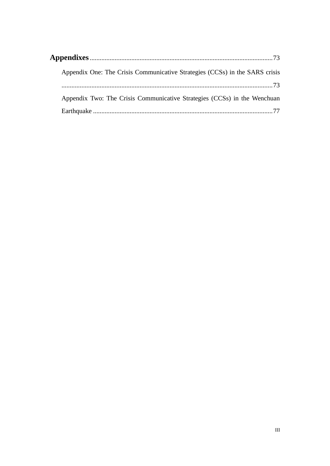|  | Appendix One: The Crisis Communicative Strategies (CCSs) in the SARS crisis |  |  |
|--|-----------------------------------------------------------------------------|--|--|
|  |                                                                             |  |  |
|  | Appendix Two: The Crisis Communicative Strategies (CCSs) in the Wenchuan    |  |  |
|  |                                                                             |  |  |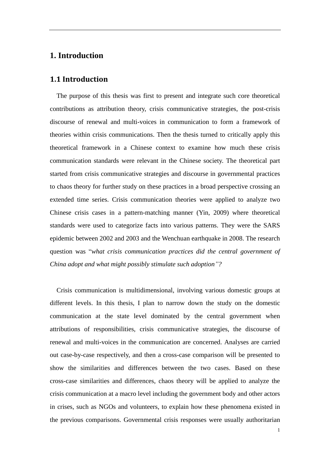### **1. Introduction**

### **1.1 Introduction**

 The purpose of this thesis was first to present and integrate such core theoretical contributions as attribution theory, crisis communicative strategies, the post-crisis discourse of renewal and multi-voices in communication to form a framework of theories within crisis communications. Then the thesis turned to critically apply this theoretical framework in a Chinese context to examine how much these crisis communication standards were relevant in the Chinese society. The theoretical part started from crisis communicative strategies and discourse in governmental practices to chaos theory for further study on these practices in a broad perspective crossing an extended time series. Crisis communication theories were applied to analyze two Chinese crisis cases in a pattern-matching manner (Yin, 2009) where theoretical standards were used to categorize facts into various patterns. They were the SARS epidemic between 2002 and 2003 and the Wenchuan earthquake in 2008. The research question was ―*what crisis communication practices did the central government of China adopt and what might possibly stimulate such adoption*"?

Crisis communication is multidimensional, involving various domestic groups at different levels. In this thesis, I plan to narrow down the study on the domestic communication at the state level dominated by the central government when attributions of responsibilities, crisis communicative strategies, the discourse of renewal and multi-voices in the communication are concerned. Analyses are carried out case-by-case respectively, and then a cross-case comparison will be presented to show the similarities and differences between the two cases. Based on these cross-case similarities and differences, chaos theory will be applied to analyze the crisis communication at a macro level including the government body and other actors in crises, such as NGOs and volunteers, to explain how these phenomena existed in the previous comparisons. Governmental crisis responses were usually authoritarian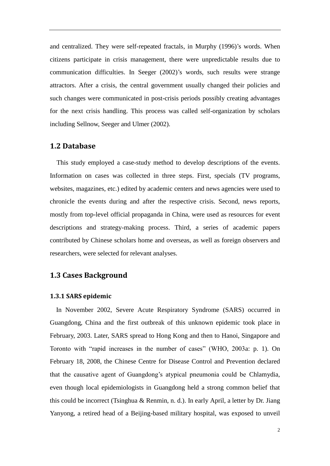and centralized. They were self-repeated fractals, in Murphy (1996)'s words. When citizens participate in crisis management, there were unpredictable results due to communication difficulties. In Seeger (2002)'s words, such results were strange attractors. After a crisis, the central government usually changed their policies and such changes were communicated in post-crisis periods possibly creating advantages for the next crisis handling. This process was called self-organization by scholars including Sellnow, Seeger and Ulmer (2002).

### **1.2 Database**

 This study employed a case-study method to develop descriptions of the events. Information on cases was collected in three steps. First, specials (TV programs, websites, magazines, etc.) edited by academic centers and news agencies were used to chronicle the events during and after the respective crisis. Second, news reports, mostly from top-level official propaganda in China, were used as resources for event descriptions and strategy-making process. Third, a series of academic papers contributed by Chinese scholars home and overseas, as well as foreign observers and researchers, were selected for relevant analyses.

### **1.3 Cases Background**

#### **1.3.1 SARS epidemic**

In November 2002, Severe Acute Respiratory Syndrome (SARS) occurred in Guangdong, China and the first outbreak of this unknown epidemic took place in February, 2003. Later, SARS spread to Hong Kong and then to Hanoi, Singapore and Toronto with "rapid increases in the number of cases" (WHO, 2003a: p. 1). On February 18, 2008, the Chinese Centre for Disease Control and Prevention declared that the causative agent of Guangdong's atypical pneumonia could be Chlamydia, even though local epidemiologists in Guangdong held a strong common belief that this could be incorrect (Tsinghua & Renmin, n. d.). In early April, a letter by Dr. Jiang Yanyong, a retired head of a Beijing-based military hospital, was exposed to unveil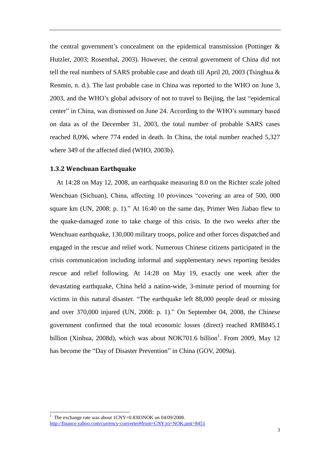the central government's concealment on the epidemical transmission (Pottinger & Hutzler, 2003; Rosenthal, 2003). However, the central government of China did not tell the real numbers of SARS probable case and death till April 20, 2003 (Tsinghua & Renmin, n. d.). The last probable case in China was reported to the WHO on June 3, 2003, and the WHO's global advisory of not to travel to Beijing, the last "epidemical center" in China, was dismissed on June 24. According to the WHO's summary based on data as of the December 31, 2003, the total number of probable SARS cases reached 8,096, where 774 ended in death. In China, the total number reached 5,327 where 349 of the affected died (WHO, 2003b).

#### **1.3.2 Wenchuan Earthquake**

 At 14:28 on May 12, 2008, an earthquake measuring 8.0 on the Richter scale jolted Wenchuan (Sichuan), China, affecting 10 provinces "covering an area of 500, 000 square km (UN, 2008: p. 1)." At 16:40 on the same day, Primer Wen Jiabao flew to the quake-damaged zone to take charge of this crisis. In the two weeks after the Wenchuan earthquake, 130,000 military troops, police and other forces dispatched and engaged in the rescue and relief work. Numerous Chinese citizens participated in the crisis communication including informal and supplementary news reporting besides rescue and relief following. At 14:28 on May 19, exactly one week after the devastating earthquake, China held a nation-wide, 3-minute period of mourning for victims in this natural disaster. "The earthquake left 88,000 people dead or missing and over  $370,000$  injured (UN, 2008: p. 1)." On September 04, 2008, the Chinese government confirmed that the total economic losses (direct) reached RMB845.1 billion (Xinhua, 2008d), which was about NOK701.6 billion<sup>1</sup>. From 2009, May 12 has become the "Day of Disaster Prevention" in China (GOV, 2009a).

-

<sup>&</sup>lt;sup>1</sup> The exchange rate was about  $1CNY=0.8303NOK$  on  $04/09/2008$ . <http://finance.yahoo.com/currency-converter#from=CNY;to=NOK;amt=8451>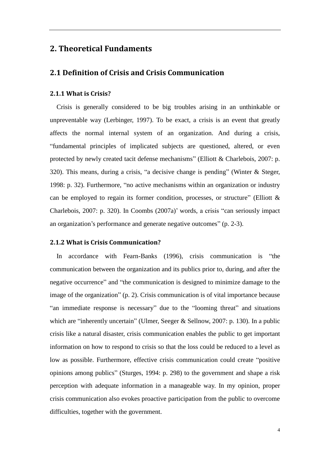### **2. Theoretical Fundaments**

### **2.1 Definition of Crisis and Crisis Communication**

#### **2.1.1 What is Crisis?**

Crisis is generally considered to be big troubles arising in an unthinkable or unpreventable way (Lerbinger, 1997). To be exact, a crisis is an event that greatly affects the normal internal system of an organization. And during a crisis, ―fundamental principles of implicated subjects are questioned, altered, or even protected by newly created tacit defense mechanisms" (Elliott & Charlebois, 2007: p. 320). This means, during a crisis, "a decisive change is pending" (Winter  $&$  Steger, 1998: p. 32). Furthermore, "no active mechanisms within an organization or industry can be employed to regain its former condition, processes, or structure" (Elliott  $\&$ Charlebois, 2007: p. 320). In Coombs (2007a)' words, a crisis "can seriously impact an organization's performance and generate negative outcomes"  $(p. 2-3)$ .

### **2.1.2 What is Crisis Communication?**

In accordance with Fearn-Banks (1996), crisis communication is "the communication between the organization and its publics prior to, during, and after the negative occurrence" and "the communication is designed to minimize damage to the image of the organization"  $(p, 2)$ . Crisis communication is of vital importance because "an immediate response is necessary" due to the "looming threat" and situations which are "inherently uncertain" (Ulmer, Seeger & Sellnow, 2007: p. 130). In a public crisis like a natural disaster, crisis communication enables the public to get important information on how to respond to crisis so that the loss could be reduced to a level as low as possible. Furthermore, effective crisis communication could create "positive opinions among publics‖ (Sturges, 1994: p. 298) to the government and shape a risk perception with adequate information in a manageable way. In my opinion, proper crisis communication also evokes proactive participation from the public to overcome difficulties, together with the government.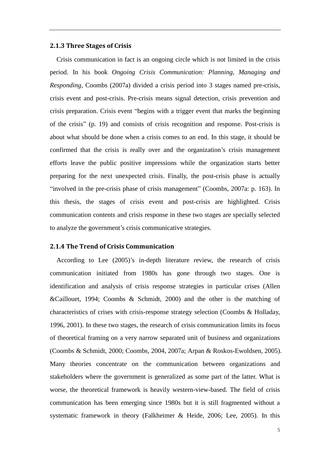#### **2.1.3 Three Stages of Crisis**

 Crisis communication in fact is an ongoing circle which is not limited in the crisis period. In his book *Ongoing Crisis Communication: Planning, Managing and Responding*, Coombs (2007a) divided a crisis period into 3 stages named pre-crisis, crisis event and post-crisis. Pre-crisis means signal detection, crisis prevention and crisis preparation. Crisis event "begins with a trigger event that marks the beginning of the crisis" (p. 19) and consists of crisis recognition and response. Post-crisis is about what should be done when a crisis comes to an end. In this stage, it should be confirmed that the crisis is really over and the organization's crisis management efforts leave the public positive impressions while the organization starts better preparing for the next unexpected crisis. Finally, the post-crisis phase is actually "involved in the pre-crisis phase of crisis management" (Coombs, 2007a: p. 163). In this thesis, the stages of crisis event and post-crisis are highlighted. Crisis communication contents and crisis response in these two stages are specially selected to analyze the government's crisis communicative strategies.

#### **2.1.4 The Trend of Crisis Communication**

According to Lee (2005)'s in-depth literature review, the research of crisis communication initiated from 1980s has gone through two stages. One is identification and analysis of crisis response strategies in particular crises (Allen &Caillouet, 1994; Coombs & Schmidt, 2000) and the other is the matching of characteristics of crises with crisis-response strategy selection (Coombs & Holladay, 1996, 2001). In these two stages, the research of crisis communication limits its focus of theoretical framing on a very narrow separated unit of business and organizations (Coombs & Schmidt, 2000; Coombs, 2004, 2007a; Arpan & Roskos-Ewoldsen, 2005). Many theories concentrate on the communication between organizations and stakeholders where the government is generalized as some part of the latter. What is worse, the theoretical framework is heavily western-view-based. The field of crisis communication has been emerging since 1980s but it is still fragmented without a systematic framework in theory (Falkheimer & Heide, 2006; Lee, 2005). In this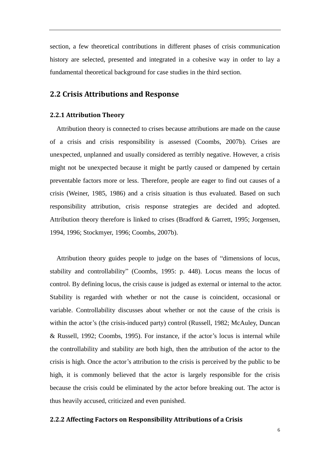section, a few theoretical contributions in different phases of crisis communication history are selected, presented and integrated in a cohesive way in order to lay a fundamental theoretical background for case studies in the third section.

### **2.2 Crisis Attributions and Response**

#### **2.2.1 Attribution Theory**

Attribution theory is connected to crises because attributions are made on the cause of a crisis and crisis responsibility is assessed (Coombs, 2007b). Crises are unexpected, unplanned and usually considered as terribly negative. However, a crisis might not be unexpected because it might be partly caused or dampened by certain preventable factors more or less. Therefore, people are eager to find out causes of a crisis (Weiner, 1985, 1986) and a crisis situation is thus evaluated. Based on such responsibility attribution, crisis response strategies are decided and adopted. Attribution theory therefore is linked to crises (Bradford & Garrett, 1995; Jorgensen, 1994, 1996; Stockmyer, 1996; Coombs, 2007b).

Attribution theory guides people to judge on the bases of "dimensions of locus, stability and controllability" (Coombs, 1995: p. 448). Locus means the locus of control. By defining locus, the crisis cause is judged as external or internal to the actor. Stability is regarded with whether or not the cause is coincident, occasional or variable. Controllability discusses about whether or not the cause of the crisis is within the actor's (the crisis-induced party) control (Russell, 1982; McAuley, Duncan & Russell, 1992; Coombs, 1995). For instance, if the actor's locus is internal while the controllability and stability are both high, then the attribution of the actor to the crisis is high. Once the actor's attribution to the crisis is perceived by the public to be high, it is commonly believed that the actor is largely responsible for the crisis because the crisis could be eliminated by the actor before breaking out. The actor is thus heavily accused, criticized and even punished.

#### **2.2.2 Affecting Factors on Responsibility Attributions of a Crisis**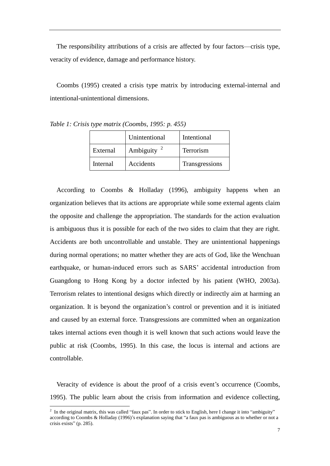The responsibility attributions of a crisis are affected by four factors—crisis type, veracity of evidence, damage and performance history.

Coombs (1995) created a crisis type matrix by introducing external-internal and intentional-unintentional dimensions.

|          | Unintentional          | Intentional    |
|----------|------------------------|----------------|
| External | Ambiguity <sup>2</sup> | Terrorism      |
| Internal | Accidents              | Transgressions |

*Table 1: Crisis type matrix (Coombs, 1995: p. 455)*

According to Coombs & Holladay (1996), ambiguity happens when an organization believes that its actions are appropriate while some external agents claim the opposite and challenge the appropriation. The standards for the action evaluation is ambiguous thus it is possible for each of the two sides to claim that they are right. Accidents are both uncontrollable and unstable. They are unintentional happenings during normal operations; no matter whether they are acts of God, like the Wenchuan earthquake, or human-induced errors such as SARS' accidental introduction from Guangdong to Hong Kong by a doctor infected by his patient (WHO, 2003a). Terrorism relates to intentional designs which directly or indirectly aim at harming an organization. It is beyond the organization's control or prevention and it is initiated and caused by an external force. Transgressions are committed when an organization takes internal actions even though it is well known that such actions would leave the public at risk (Coombs, 1995). In this case, the locus is internal and actions are controllable.

Veracity of evidence is about the proof of a crisis event's occurrence (Coombs, 1995). The public learn about the crisis from information and evidence collecting,

<u>.</u>

<sup>&</sup>lt;sup>2</sup> In the original matrix, this was called "faux pas". In order to stick to English, here I change it into "ambiguity" according to Coombs & Holladay (1996)'s explanation saying that "a faux pas is ambiguous as to whether or not a crisis exists" (p. 285).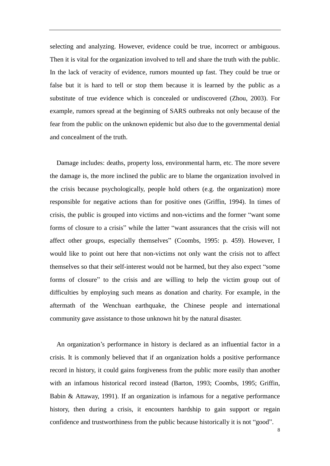selecting and analyzing. However, evidence could be true, incorrect or ambiguous. Then it is vital for the organization involved to tell and share the truth with the public. In the lack of veracity of evidence, rumors mounted up fast. They could be true or false but it is hard to tell or stop them because it is learned by the public as a substitute of true evidence which is concealed or undiscovered (Zhou, 2003). For example, rumors spread at the beginning of SARS outbreaks not only because of the fear from the public on the unknown epidemic but also due to the governmental denial and concealment of the truth.

Damage includes: deaths, property loss, environmental harm, etc. The more severe the damage is, the more inclined the public are to blame the organization involved in the crisis because psychologically, people hold others (e.g. the organization) more responsible for negative actions than for positive ones (Griffin, 1994). In times of crisis, the public is grouped into victims and non-victims and the former "want some forms of closure to a crisis" while the latter "want assurances that the crisis will not affect other groups, especially themselves" (Coombs, 1995: p. 459). However, I would like to point out here that non-victims not only want the crisis not to affect themselves so that their self-interest would not be harmed, but they also expect "some forms of closure" to the crisis and are willing to help the victim group out of difficulties by employing such means as donation and charity. For example, in the aftermath of the Wenchuan earthquake, the Chinese people and international community gave assistance to those unknown hit by the natural disaster.

An organization's performance in history is declared as an influential factor in a crisis. It is commonly believed that if an organization holds a positive performance record in history, it could gains forgiveness from the public more easily than another with an infamous historical record instead (Barton, 1993; Coombs, 1995; Griffin, Babin & Attaway, 1991). If an organization is infamous for a negative performance history, then during a crisis, it encounters hardship to gain support or regain confidence and trustworthiness from the public because historically it is not "good".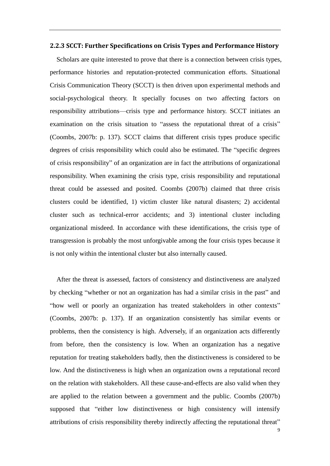#### **2.2.3 SCCT: Further Specifications on Crisis Types and Performance History**

Scholars are quite interested to prove that there is a connection between crisis types, performance histories and reputation-protected communication efforts. Situational Crisis Communication Theory (SCCT) is then driven upon experimental methods and social-psychological theory. It specially focuses on two affecting factors on responsibility attributions—crisis type and performance history. SCCT initiates an examination on the crisis situation to "assess the reputational threat of a crisis" (Coombs, 2007b: p. 137). SCCT claims that different crisis types produce specific degrees of crisis responsibility which could also be estimated. The "specific degrees" of crisis responsibility" of an organization are in fact the attributions of organizational responsibility. When examining the crisis type, crisis responsibility and reputational threat could be assessed and posited. Coombs (2007b) claimed that three crisis clusters could be identified, 1) victim cluster like natural disasters; 2) accidental cluster such as technical-error accidents; and 3) intentional cluster including organizational misdeed. In accordance with these identifications, the crisis type of transgression is probably the most unforgivable among the four crisis types because it is not only within the intentional cluster but also internally caused.

After the threat is assessed, factors of consistency and distinctiveness are analyzed by checking "whether or not an organization has had a similar crisis in the past" and "how well or poorly an organization has treated stakeholders in other contexts" (Coombs, 2007b: p. 137). If an organization consistently has similar events or problems, then the consistency is high. Adversely, if an organization acts differently from before, then the consistency is low. When an organization has a negative reputation for treating stakeholders badly, then the distinctiveness is considered to be low. And the distinctiveness is high when an organization owns a reputational record on the relation with stakeholders. All these cause-and-effects are also valid when they are applied to the relation between a government and the public. Coombs (2007b) supposed that "either low distinctiveness or high consistency will intensify attributions of crisis responsibility thereby indirectly affecting the reputational threat"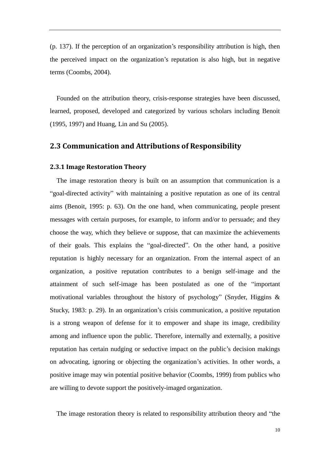(p. 137). If the perception of an organization's responsibility attribution is high, then the perceived impact on the organization's reputation is also high, but in negative terms (Coombs, 2004).

Founded on the attribution theory, crisis-response strategies have been discussed, learned, proposed, developed and categorized by various scholars including Benoit (1995, 1997) and Huang, Lin and Su (2005).

### **2.3 Communication and Attributions of Responsibility**

#### **2.3.1 Image Restoration Theory**

 The image restoration theory is built on an assumption that communication is a "goal-directed activity" with maintaining a positive reputation as one of its central aims (Benoit, 1995: p. 63). On the one hand, when communicating, people present messages with certain purposes, for example, to inform and/or to persuade; and they choose the way, which they believe or suppose, that can maximize the achievements of their goals. This explains the "goal-directed". On the other hand, a positive reputation is highly necessary for an organization. From the internal aspect of an organization, a positive reputation contributes to a benign self-image and the attainment of such self-image has been postulated as one of the "important motivational variables throughout the history of psychology" (Snyder, Higgins  $\&$ Stucky, 1983: p. 29). In an organization's crisis communication, a positive reputation is a strong weapon of defense for it to empower and shape its image, credibility among and influence upon the public. Therefore, internally and externally, a positive reputation has certain nudging or seductive impact on the public's decision makings on advocating, ignoring or objecting the organization's activities. In other words, a positive image may win potential positive behavior (Coombs, 1999) from publics who are willing to devote support the positively-imaged organization.

The image restoration theory is related to responsibility attribution theory and "the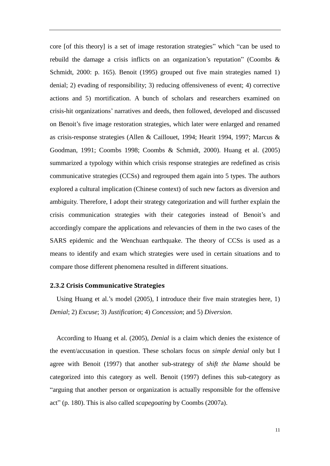core [of this theory] is a set of image restoration strategies" which "can be used to rebuild the damage a crisis inflicts on an organization's reputation'' (Coombs  $\&$ Schmidt, 2000: p. 165). Benoit (1995) grouped out five main strategies named 1) denial; 2) evading of responsibility; 3) reducing offensiveness of event; 4) corrective actions and 5) mortification. A bunch of scholars and researchers examined on crisis-hit organizations' narratives and deeds, then followed, developed and discussed on Benoit's five image restoration strategies, which later were enlarged and renamed as crisis-response strategies (Allen & Caillouet, 1994; Hearit 1994, 1997; Marcus & Goodman, 1991; Coombs 1998; Coombs & Schmidt, 2000). Huang et al. (2005) summarized a typology within which crisis response strategies are redefined as crisis communicative strategies (CCSs) and regrouped them again into 5 types. The authors explored a cultural implication (Chinese context) of such new factors as diversion and ambiguity. Therefore, I adopt their strategy categorization and will further explain the crisis communication strategies with their categories instead of Benoit's and accordingly compare the applications and relevancies of them in the two cases of the SARS epidemic and the Wenchuan earthquake. The theory of CCSs is used as a means to identify and exam which strategies were used in certain situations and to compare those different phenomena resulted in different situations.

#### **2.3.2 Crisis Communicative Strategies**

Using Huang et al.'s model (2005), I introduce their five main strategies here, 1) *Denial*; 2) *Excuse*; 3) *Justification*; 4) *Concession*; and 5) *Diversion*.

 According to Huang et al. (2005), *Denial* is a claim which denies the existence of the event/accusation in question. These scholars focus on *simple denial* only but I agree with Benoit (1997) that another sub-strategy of *shift the blame* should be categorized into this category as well. Benoit (1997) defines this sub-category as "arguing that another person or organization is actually responsible for the offensive act‖ (p. 180). This is also called *scapegoating* by Coombs (2007a).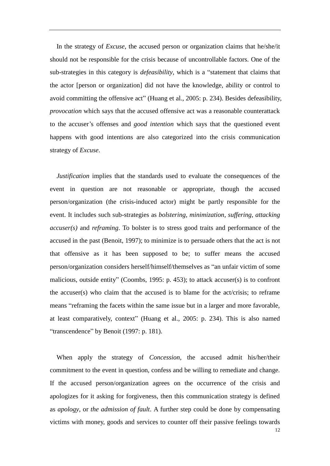In the strategy of *Excuse*, the accused person or organization claims that he/she/it should not be responsible for the crisis because of uncontrollable factors. One of the sub-strategies in this category is *defeasibility*, which is a "statement that claims that the actor [person or organization] did not have the knowledge, ability or control to avoid committing the offensive act" (Huang et al., 2005: p. 234). Besides defeasibility, *provocation* which says that the accused offensive act was a reasonable counterattack to the accuser's offenses and *good intention* which says that the questioned event happens with good intentions are also categorized into the crisis communication strategy of *Excuse*.

 *Justification* implies that the standards used to evaluate the consequences of the event in question are not reasonable or appropriate, though the accused person/organization (the crisis-induced actor) might be partly responsible for the event. It includes such sub-strategies as *bolstering*, *minimization*, *suffering*, *attacking accuser(s)* and *reframing*. To bolster is to stress good traits and performance of the accused in the past (Benoit, 1997); to minimize is to persuade others that the act is not that offensive as it has been supposed to be; to suffer means the accused person/organization considers herself/himself/themselves as "an unfair victim of some malicious, outside entity" (Coombs, 1995: p. 453); to attack accuser(s) is to confront the accuser(s) who claim that the accused is to blame for the act/crisis; to reframe means "reframing the facets within the same issue but in a larger and more favorable, at least comparatively, context" (Huang et al., 2005: p. 234). This is also named "transcendence" by Benoit (1997: p. 181).

 When apply the strategy of *Concession*, the accused admit his/her/their commitment to the event in question, confess and be willing to remediate and change. If the accused person/organization agrees on the occurrence of the crisis and apologizes for it asking for forgiveness, then this communication strategy is defined as *apology*, or *the admission of fault*. A further step could be done by compensating victims with money, goods and services to counter off their passive feelings towards

12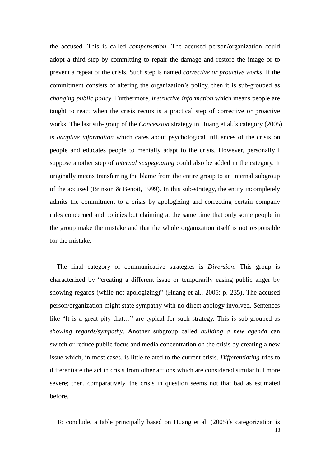the accused. This is called *compensation*. The accused person/organization could adopt a third step by committing to repair the damage and restore the image or to prevent a repeat of the crisis. Such step is named *corrective or proactive works*. If the commitment consists of altering the organization's policy, then it is sub-grouped as *changing public policy*. Furthermore, *instructive information* which means people are taught to react when the crisis recurs is a practical step of corrective or proactive works. The last sub-group of the *Concession* strategy in Huang et al.'s category (2005) is *adaptive information* which cares about psychological influences of the crisis on people and educates people to mentally adapt to the crisis. However, personally I suppose another step of *internal scapegoating* could also be added in the category. It originally means transferring the blame from the entire group to an internal subgroup of the accused (Brinson & Benoit, 1999). In this sub-strategy, the entity incompletely admits the commitment to a crisis by apologizing and correcting certain company rules concerned and policies but claiming at the same time that only some people in the group make the mistake and that the whole organization itself is not responsible for the mistake.

 The final category of communicative strategies is *Diversion*. This group is characterized by "creating a different issue or temporarily easing public anger by showing regards (while not apologizing)" (Huang et al., 2005: p. 235). The accused person/organization might state sympathy with no direct apology involved. Sentences like "It is a great pity that..." are typical for such strategy. This is sub-grouped as *showing regards/sympathy*. Another subgroup called *building a new agenda* can switch or reduce public focus and media concentration on the crisis by creating a new issue which, in most cases, is little related to the current crisis. *Differentiating* tries to differentiate the act in crisis from other actions which are considered similar but more severe; then, comparatively, the crisis in question seems not that bad as estimated before.

To conclude, a table principally based on Huang et al. (2005)'s categorization is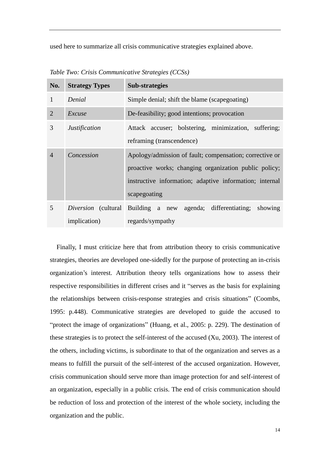used here to summarize all crisis communicative strategies explained above.

| No.            | <b>Strategy Types</b> | <b>Sub-strategies</b>                                                                                                                                                                       |  |
|----------------|-----------------------|---------------------------------------------------------------------------------------------------------------------------------------------------------------------------------------------|--|
| 1              | Denial                | Simple denial; shift the blame (scapegoating)                                                                                                                                               |  |
| $\overline{2}$ | Excuse                | De-feasibility; good intentions; provocation                                                                                                                                                |  |
| 3              | <i>Justification</i>  | Attack accuser; bolstering, minimization, suffering;<br>reframing (transcendence)                                                                                                           |  |
| $\overline{4}$ | Concession            | Apology/admission of fault; compensation; corrective or<br>proactive works; changing organization public policy;<br>instructive information; adaptive information; internal<br>scapegoating |  |
| 5              | <i>implication</i> )  | <i>Diversion</i> (cultural Building a new agenda; differentiating; showing<br>regards/sympathy                                                                                              |  |

*Table Two: Crisis Communicative Strategies (CCSs)*

 Finally, I must criticize here that from attribution theory to crisis communicative strategies, theories are developed one-sidedly for the purpose of protecting an in-crisis organization's interest. Attribution theory tells organizations how to assess their respective responsibilities in different crises and it "serves as the basis for explaining the relationships between crisis-response strategies and crisis situations" (Coombs, 1995: p.448). Communicative strategies are developed to guide the accused to "protect the image of organizations" (Huang, et al., 2005: p. 229). The destination of these strategies is to protect the self-interest of the accused (Xu, 2003). The interest of the others, including victims, is subordinate to that of the organization and serves as a means to fulfill the pursuit of the self-interest of the accused organization. However, crisis communication should serve more than image protection for and self-interest of an organization, especially in a public crisis. The end of crisis communication should be reduction of loss and protection of the interest of the whole society, including the organization and the public.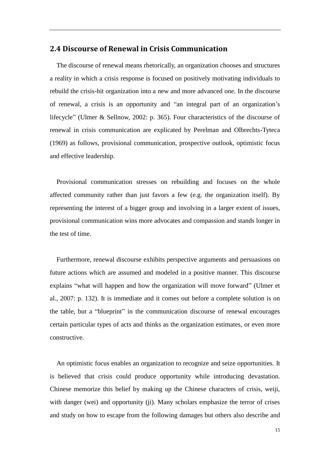### **2.4 Discourse of Renewal in Crisis Communication**

 The discourse of renewal means rhetorically, an organization chooses and structures a reality in which a crisis response is focused on positively motivating individuals to rebuild the crisis-hit organization into a new and more advanced one. In the discourse of renewal, a crisis is an opportunity and "an integral part of an organization's lifecycle" (Ulmer & Sellnow, 2002: p. 365). Four characteristics of the discourse of renewal in crisis communication are explicated by Perelman and Olbrechts-Tyteca (1969) as follows, provisional communication, prospective outlook, optimistic focus and effective leadership.

 Provisional communication stresses on rebuilding and focuses on the whole affected community rather than just favors a few (e.g. the organization itself). By representing the interest of a bigger group and involving in a larger extent of issues, provisional communication wins more advocates and compassion and stands longer in the test of time.

 Furthermore, renewal discourse exhibits perspective arguments and persuasions on future actions which are assumed and modeled in a positive manner. This discourse explains "what will happen and how the organization will move forward" (Ulmer et al., 2007: p. 132). It is immediate and it comes out before a complete solution is on the table, but a "blueprint" in the communication discourse of renewal encourages certain particular types of acts and thinks as the organization estimates, or even more constructive.

 An optimistic focus enables an organization to recognize and seize opportunities. It is believed that crisis could produce opportunity while introducing devastation. Chinese memorize this belief by making up the Chinese characters of crisis, weiji, with danger (wei) and opportunity (ji). Many scholars emphasize the terror of crises and study on how to escape from the following damages but others also describe and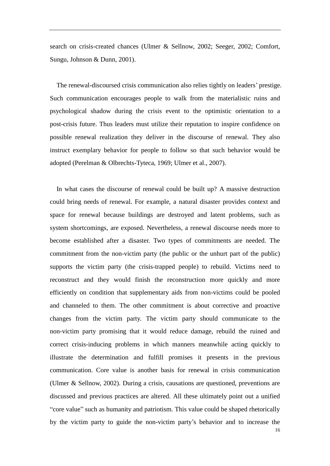search on crisis-created chances (Ulmer & Sellnow, 2002; Seeger, 2002; Comfort, Sungu, Johnson & Dunn, 2001).

 The renewal-discoursed crisis communication also relies tightly on leaders' prestige. Such communication encourages people to walk from the materialistic ruins and psychological shadow during the crisis event to the optimistic orientation to a post-crisis future. Thus leaders must utilize their reputation to inspire confidence on possible renewal realization they deliver in the discourse of renewal. They also instruct exemplary behavior for people to follow so that such behavior would be adopted (Perelman & Olbrechts-Tyteca, 1969; Ulmer et al., 2007).

 In what cases the discourse of renewal could be built up? A massive destruction could bring needs of renewal. For example, a natural disaster provides context and space for renewal because buildings are destroyed and latent problems, such as system shortcomings, are exposed. Nevertheless, a renewal discourse needs more to become established after a disaster. Two types of commitments are needed. The commitment from the non-victim party (the public or the unhurt part of the public) supports the victim party (the crisis-trapped people) to rebuild. Victims need to reconstruct and they would finish the reconstruction more quickly and more efficiently on condition that supplementary aids from non-victims could be pooled and channeled to them. The other commitment is about corrective and proactive changes from the victim party. The victim party should communicate to the non-victim party promising that it would reduce damage, rebuild the ruined and correct crisis-inducing problems in which manners meanwhile acting quickly to illustrate the determination and fulfill promises it presents in the previous communication. Core value is another basis for renewal in crisis communication (Ulmer & Sellnow, 2002). During a crisis, causations are questioned, preventions are discussed and previous practices are altered. All these ultimately point out a unified "core value" such as humanity and patriotism. This value could be shaped rhetorically by the victim party to guide the non-victim party's behavior and to increase the

16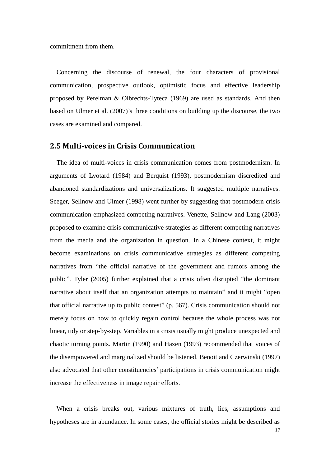commitment from them.

 Concerning the discourse of renewal, the four characters of provisional communication, prospective outlook, optimistic focus and effective leadership proposed by Perelman & Olbrechts-Tyteca (1969) are used as standards. And then based on Ulmer et al. (2007)'s three conditions on building up the discourse, the two cases are examined and compared.

#### **2.5 Multi-voices in Crisis Communication**

 The idea of multi-voices in crisis communication comes from postmodernism. In arguments of Lyotard (1984) and Berquist (1993), postmodernism discredited and abandoned standardizations and universalizations. It suggested multiple narratives. Seeger, Sellnow and Ulmer (1998) went further by suggesting that postmodern crisis communication emphasized competing narratives. Venette, Sellnow and Lang (2003) proposed to examine crisis communicative strategies as different competing narratives from the media and the organization in question. In a Chinese context, it might become examinations on crisis communicative strategies as different competing narratives from "the official narrative of the government and rumors among the public". Tyler (2005) further explained that a crisis often disrupted "the dominant narrative about itself that an organization attempts to maintain" and it might "open that official narrative up to public contest" (p. 567). Crisis communication should not merely focus on how to quickly regain control because the whole process was not linear, tidy or step-by-step. Variables in a crisis usually might produce unexpected and chaotic turning points. Martin (1990) and Hazen (1993) recommended that voices of the disempowered and marginalized should be listened. Benoit and Czerwinski (1997) also advocated that other constituencies' participations in crisis communication might increase the effectiveness in image repair efforts.

When a crisis breaks out, various mixtures of truth, lies, assumptions and hypotheses are in abundance. In some cases, the official stories might be described as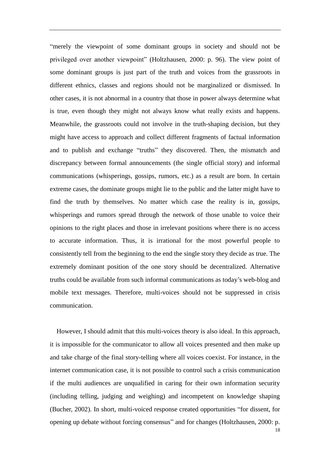―merely the viewpoint of some dominant groups in society and should not be privileged over another viewpoint" (Holtzhausen, 2000: p. 96). The view point of some dominant groups is just part of the truth and voices from the grassroots in different ethnics, classes and regions should not be marginalized or dismissed. In other cases, it is not abnormal in a country that those in power always determine what is true, even though they might not always know what really exists and happens. Meanwhile, the grassroots could not involve in the truth-shaping decision, but they might have access to approach and collect different fragments of factual information and to publish and exchange "truths" they discovered. Then, the mismatch and discrepancy between formal announcements (the single official story) and informal communications (whisperings, gossips, rumors, etc.) as a result are born. In certain extreme cases, the dominate groups might lie to the public and the latter might have to find the truth by themselves. No matter which case the reality is in, gossips, whisperings and rumors spread through the network of those unable to voice their opinions to the right places and those in irrelevant positions where there is no access to accurate information. Thus, it is irrational for the most powerful people to consistently tell from the beginning to the end the single story they decide as true. The extremely dominant position of the one story should be decentralized. Alternative truths could be available from such informal communications as today's web-blog and mobile text messages. Therefore, multi-voices should not be suppressed in crisis communication.

 However, I should admit that this multi-voices theory is also ideal. In this approach, it is impossible for the communicator to allow all voices presented and then make up and take charge of the final story-telling where all voices coexist. For instance, in the internet communication case, it is not possible to control such a crisis communication if the multi audiences are unqualified in caring for their own information security (including telling, judging and weighing) and incompetent on knowledge shaping (Bucher, 2002). In short, multi-voiced response created opportunities "for dissent, for opening up debate without forcing consensus" and for changes (Holtzhausen, 2000: p.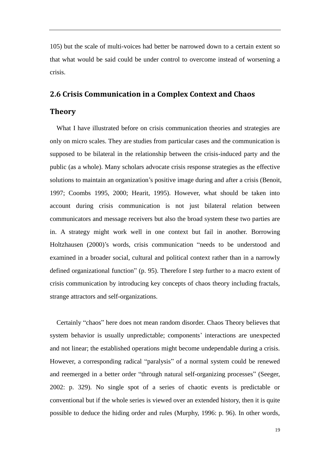105) but the scale of multi-voices had better be narrowed down to a certain extent so that what would be said could be under control to overcome instead of worsening a crisis.

### **2.6 Crisis Communication in a Complex Context and Chaos**

### **Theory**

What I have illustrated before on crisis communication theories and strategies are only on micro scales. They are studies from particular cases and the communication is supposed to be bilateral in the relationship between the crisis-induced party and the public (as a whole). Many scholars advocate crisis response strategies as the effective solutions to maintain an organization's positive image during and after a crisis (Benoit, 1997; Coombs 1995, 2000; Hearit, 1995). However, what should be taken into account during crisis communication is not just bilateral relation between communicators and message receivers but also the broad system these two parties are in. A strategy might work well in one context but fail in another. Borrowing Holtzhausen (2000)'s words, crisis communication "needs to be understood and examined in a broader social, cultural and political context rather than in a narrowly defined organizational function" (p. 95). Therefore I step further to a macro extent of crisis communication by introducing key concepts of chaos theory including fractals, strange attractors and self-organizations.

Certainly "chaos" here does not mean random disorder. Chaos Theory believes that system behavior is usually unpredictable; components' interactions are unexpected and not linear; the established operations might become undependable during a crisis. However, a corresponding radical "paralysis" of a normal system could be renewed and reemerged in a better order "through natural self-organizing processes" (Seeger, 2002: p. 329). No single spot of a series of chaotic events is predictable or conventional but if the whole series is viewed over an extended history, then it is quite possible to deduce the hiding order and rules (Murphy, 1996: p. 96). In other words,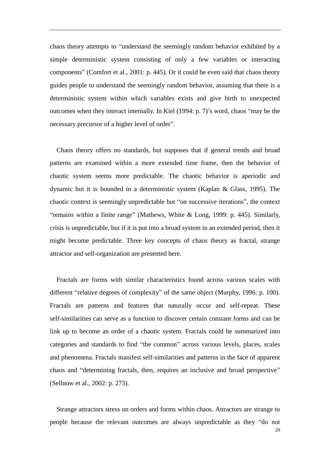chaos theory attempts to "understand the seemingly random behavior exhibited by a simple deterministic system consisting of only a few variables or interacting components" (Comfort et al., 2001: p. 445). Or it could be even said that chaos theory guides people to understand the seemingly random behavior, assuming that there is a deterministic system within which variables exists and give birth to unexpected outcomes when they interact internally. In Kiel (1994: p. 7)'s word, chaos "may be the necessary precursor of a higher level of order".

Chaos theory offers no standards, but supposes that if general trends and broad patterns are examined within a more extended time frame, then the behavior of chaotic system seems more predictable. The chaotic behavior is aperiodic and dynamic but it is bounded in a deterministic system (Kaplan & Glass, 1995). The chaotic context is seemingly unpredictable but "on successive iterations", the context "remains within a finite range" (Mathews, White  $& Long, 1999$ : p. 445). Similarly, crisis is unpredictable, but if it is put into a broad system in an extended period, then it might become predictable. Three key concepts of chaos theory as fractal, strange attractor and self-organization are presented here.

 Fractals are forms with similar characteristics found across various scales with different "relative degrees of complexity" of the same object (Murphy, 1996: p. 100). Fractals are patterns and features that naturally occur and self-repeat. These self-similarities can serve as a function to discover certain constant forms and can be link up to become an order of a chaotic system. Fractals could be summarized into categories and standards to find "the common" across various levels, places, scales and phenomena. Fractals manifest self-similarities and patterns in the face of apparent chaos and "determining fractals, then, requires an inclusive and broad perspective" (Sellnow et al., 2002: p. 273).

20 Strange attractors stress on orders and forms within chaos. Attractors are strange to people because the relevant outcomes are always unpredictable as they "do not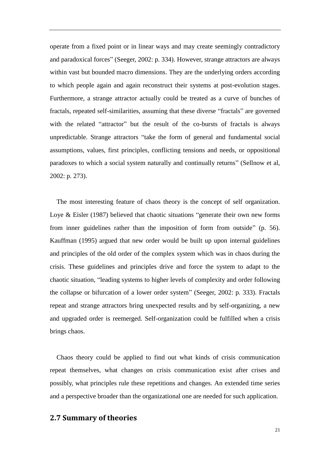operate from a fixed point or in linear ways and may create seemingly contradictory and paradoxical forces" (Seeger, 2002: p. 334). However, strange attractors are always within vast but bounded macro dimensions. They are the underlying orders according to which people again and again reconstruct their systems at post-evolution stages. Furthermore, a strange attractor actually could be treated as a curve of bunches of fractals, repeated self-similarities, assuming that these diverse "fractals" are governed with the related "attractor" but the result of the co-bursts of fractals is always unpredictable. Strange attractors "take the form of general and fundamental social assumptions, values, first principles, conflicting tensions and needs, or oppositional paradoxes to which a social system naturally and continually returns‖ (Sellnow et al, 2002: p. 273).

 The most interesting feature of chaos theory is the concept of self organization. Loye  $& Eisler (1987)$  believed that chaotic situations "generate their own new forms from inner guidelines rather than the imposition of form from outside" (p. 56). Kauffman (1995) argued that new order would be built up upon internal guidelines and principles of the old order of the complex system which was in chaos during the crisis. These guidelines and principles drive and force the system to adapt to the chaotic situation, "leading systems to higher levels of complexity and order following the collapse or bifurcation of a lower order system" (Seeger, 2002: p. 333). Fractals repeat and strange attractors bring unexpected results and by self-organizing, a new and upgraded order is reemerged. Self-organization could be fulfilled when a crisis brings chaos.

 Chaos theory could be applied to find out what kinds of crisis communication repeat themselves, what changes on crisis communication exist after crises and possibly, what principles rule these repetitions and changes. An extended time series and a perspective broader than the organizational one are needed for such application.

### **2.7 Summary of theories**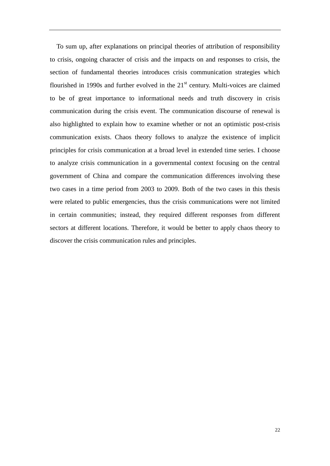To sum up, after explanations on principal theories of attribution of responsibility to crisis, ongoing character of crisis and the impacts on and responses to crisis, the section of fundamental theories introduces crisis communication strategies which flourished in 1990s and further evolved in the  $21<sup>st</sup>$  century. Multi-voices are claimed to be of great importance to informational needs and truth discovery in crisis communication during the crisis event. The communication discourse of renewal is also highlighted to explain how to examine whether or not an optimistic post-crisis communication exists. Chaos theory follows to analyze the existence of implicit principles for crisis communication at a broad level in extended time series. I choose to analyze crisis communication in a governmental context focusing on the central government of China and compare the communication differences involving these two cases in a time period from 2003 to 2009. Both of the two cases in this thesis were related to public emergencies, thus the crisis communications were not limited in certain communities; instead, they required different responses from different sectors at different locations. Therefore, it would be better to apply chaos theory to discover the crisis communication rules and principles.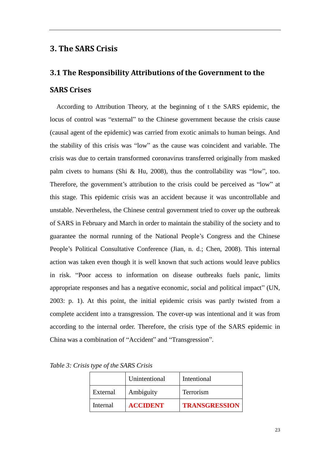### **3. The SARS Crisis**

### **3.1 The Responsibility Attributions of the Government to the**

### **SARS Crises**

 According to Attribution Theory, at the beginning of t the SARS epidemic, the locus of control was "external" to the Chinese government because the crisis cause (causal agent of the epidemic) was carried from exotic animals to human beings. And the stability of this crisis was "low" as the cause was coincident and variable. The crisis was due to certain transformed coronavirus transferred originally from masked palm civets to humans (Shi & Hu, 2008), thus the controllability was "low", too. Therefore, the government's attribution to the crisis could be perceived as "low" at this stage. This epidemic crisis was an accident because it was uncontrollable and unstable. Nevertheless, the Chinese central government tried to cover up the outbreak of SARS in February and March in order to maintain the stability of the society and to guarantee the normal running of the National People's Congress and the Chinese People's Political Consultative Conference (Jian, n. d.; Chen, 2008). This internal action was taken even though it is well known that such actions would leave publics in risk. "Poor access to information on disease outbreaks fuels panic, limits appropriate responses and has a negative economic, social and political impact" (UN, 2003: p. 1). At this point, the initial epidemic crisis was partly twisted from a complete accident into a transgression. The cover-up was intentional and it was from according to the internal order. Therefore, the crisis type of the SARS epidemic in China was a combination of "Accident" and "Transgression".

|          | Unintentional   | Intentional          |
|----------|-----------------|----------------------|
| External | Ambiguity       | Terrorism            |
| Internal | <b>ACCIDENT</b> | <b>TRANSGRESSION</b> |

*Table 3: Crisis type of the SARS Crisis*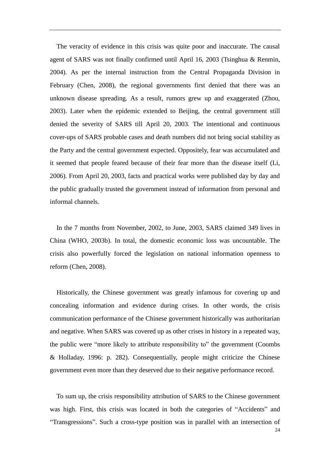The veracity of evidence in this crisis was quite poor and inaccurate. The causal agent of SARS was not finally confirmed until April 16, 2003 (Tsinghua & Renmin, 2004). As per the internal instruction from the Central Propaganda Division in February (Chen, 2008), the regional governments first denied that there was an unknown disease spreading. As a result, rumors grew up and exaggerated (Zhou, 2003). Later when the epidemic extended to Beijing, the central government still denied the severity of SARS till April 20, 2003. The intentional and continuous cover-ups of SARS probable cases and death numbers did not bring social stability as the Party and the central government expected. Oppositely, fear was accumulated and it seemed that people feared because of their fear more than the disease itself (Li, 2006). From April 20, 2003, facts and practical works were published day by day and the public gradually trusted the government instead of information from personal and informal channels.

 In the 7 months from November, 2002, to June, 2003, SARS claimed 349 lives in China (WHO, 2003b). In total, the domestic economic loss was uncountable. The crisis also powerfully forced the legislation on national information openness to reform (Chen, 2008).

 Historically, the Chinese government was greatly infamous for covering up and concealing information and evidence during crises. In other words, the crisis communication performance of the Chinese government historically was authoritarian and negative. When SARS was covered up as other crises in history in a repeated way, the public were "more likely to attribute responsibility to" the government (Coombs & Holladay, 1996: p. 282). Consequentially, people might criticize the Chinese government even more than they deserved due to their negative performance record.

 To sum up, the crisis responsibility attribution of SARS to the Chinese government was high. First, this crisis was located in both the categories of "Accidents" and ―Transgressions‖. Such a cross-type position was in parallel with an intersection of

24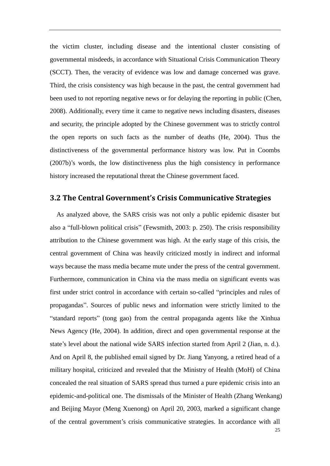the victim cluster, including disease and the intentional cluster consisting of governmental misdeeds, in accordance with Situational Crisis Communication Theory (SCCT). Then, the veracity of evidence was low and damage concerned was grave. Third, the crisis consistency was high because in the past, the central government had been used to not reporting negative news or for delaying the reporting in public (Chen, 2008). Additionally, every time it came to negative news including disasters, diseases and security, the principle adopted by the Chinese government was to strictly control the open reports on such facts as the number of deaths (He, 2004). Thus the distinctiveness of the governmental performance history was low. Put in Coombs (2007b)'s words, the low distinctiveness plus the high consistency in performance history increased the reputational threat the Chinese government faced.

#### **3.2 The Central Government's Crisis Communicative Strategies**

25 As analyzed above, the SARS crisis was not only a public epidemic disaster but also a "full-blown political crisis" (Fewsmith, 2003: p. 250). The crisis responsibility attribution to the Chinese government was high. At the early stage of this crisis, the central government of China was heavily criticized mostly in indirect and informal ways because the mass media became mute under the press of the central government. Furthermore, communication in China via the mass media on significant events was first under strict control in accordance with certain so-called "principles and rules of propagandas‖. Sources of public news and information were strictly limited to the ―standard reports‖ (tong gao) from the central propaganda agents like the Xinhua News Agency (He, 2004). In addition, direct and open governmental response at the state's level about the national wide SARS infection started from April 2 (Jian, n. d.). And on April 8, the published email signed by Dr. Jiang Yanyong, a retired head of a military hospital, criticized and revealed that the Ministry of Health (MoH) of China concealed the real situation of SARS spread thus turned a pure epidemic crisis into an epidemic-and-political one. The dismissals of the Minister of Health (Zhang Wenkang) and Beijing Mayor (Meng Xuenong) on April 20, 2003, marked a significant change of the central government's crisis communicative strategies. In accordance with all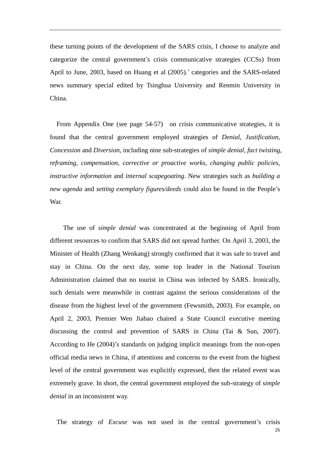these turning points of the development of the SARS crisis, I choose to analyze and categorize the central government's crisis communicative strategies (CCSs) from April to June, 2003, based on Huang et al (2005).' categories and the SARS-related news summary special edited by Tsinghua University and Renmin University in China.

 From Appendix One (see page 54-57) on crisis communicative strategies, it is found that the central government employed strategies of *Denial, Justification, Concession* and *Diversion*, including nine sub-strategies of *simple denial, fact twisting, reframing, compensation, corrective or proactive works, changing public policies, instructive information* and *internal scapegoating*. New strategies such as *building a new agenda* and *setting exemplary figures/deeds* could also be found in the People's War.

 The use of *simple denial* was concentrated at the beginning of April from different resources to confirm that SARS did not spread further. On April 3, 2003, the Minister of Health (Zhang Wenkang) strongly confirmed that it was safe to travel and stay in China. On the next day, some top leader in the National Tourism Administration claimed that no tourist in China was infected by SARS. Ironically, such denials were meanwhile in contrast against the serious considerations of the disease from the highest level of the government (Fewsmith, 2003). For example, on April 2, 2003, Premier Wen Jiabao chaired a State Council executive meeting discussing the control and prevention of SARS in China (Tai & Sun, 2007). According to He (2004)'s standards on judging implicit meanings from the non-open official media news in China, if attentions and concerns to the event from the highest level of the central government was explicitly expressed, then the related event was extremely grave. In short, the central government employed the sub-strategy of *simple denial* in an inconsistent way.

The strategy of *Excuse* was not used in the central government's crisis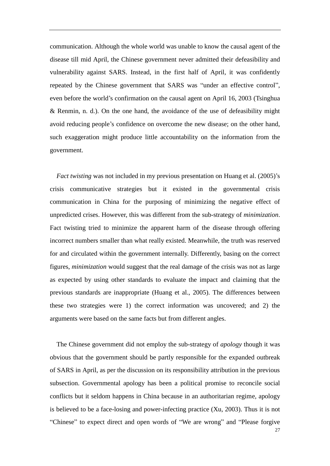communication. Although the whole world was unable to know the causal agent of the disease till mid April, the Chinese government never admitted their defeasibility and vulnerability against SARS. Instead, in the first half of April, it was confidently repeated by the Chinese government that SARS was "under an effective control", even before the world's confirmation on the causal agent on April 16, 2003 (Tsinghua & Renmin, n. d.). On the one hand, the avoidance of the use of defeasibility might avoid reducing people's confidence on overcome the new disease; on the other hand, such exaggeration might produce little accountability on the information from the government.

*Fact twisting* was not included in my previous presentation on Huang et al. (2005)'s crisis communicative strategies but it existed in the governmental crisis communication in China for the purposing of minimizing the negative effect of unpredicted crises. However, this was different from the sub-strategy of *minimization*. Fact twisting tried to minimize the apparent harm of the disease through offering incorrect numbers smaller than what really existed. Meanwhile, the truth was reserved for and circulated within the government internally. Differently, basing on the correct figures, *minimization* would suggest that the real damage of the crisis was not as large as expected by using other standards to evaluate the impact and claiming that the previous standards are inappropriate (Huang et al., 2005). The differences between these two strategies were 1) the correct information was uncovered; and 2) the arguments were based on the same facts but from different angles.

The Chinese government did not employ the sub-strategy of *apology* though it was obvious that the government should be partly responsible for the expanded outbreak of SARS in April, as per the discussion on its responsibility attribution in the previous subsection. Governmental apology has been a political promise to reconcile social conflicts but it seldom happens in China because in an authoritarian regime, apology is believed to be a face-losing and power-infecting practice (Xu, 2003). Thus it is not "Chinese" to expect direct and open words of "We are wrong" and "Please forgive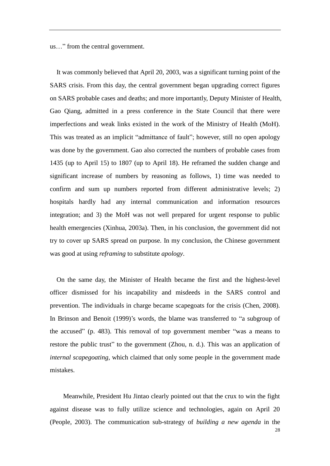us..." from the central government.

 It was commonly believed that April 20, 2003, was a significant turning point of the SARS crisis. From this day, the central government began upgrading correct figures on SARS probable cases and deaths; and more importantly, Deputy Minister of Health, Gao Qiang, admitted in a press conference in the State Council that there were imperfections and weak links existed in the work of the Ministry of Health (MoH). This was treated as an implicit "admittance of fault"; however, still no open apology was done by the government. Gao also corrected the numbers of probable cases from 1435 (up to April 15) to 1807 (up to April 18). He reframed the sudden change and significant increase of numbers by reasoning as follows, 1) time was needed to confirm and sum up numbers reported from different administrative levels; 2) hospitals hardly had any internal communication and information resources integration; and 3) the MoH was not well prepared for urgent response to public health emergencies (Xinhua, 2003a). Then, in his conclusion, the government did not try to cover up SARS spread on purpose. In my conclusion, the Chinese government was good at using *reframing* to substitute *apology*.

On the same day, the Minister of Health became the first and the highest-level officer dismissed for his incapability and misdeeds in the SARS control and prevention. The individuals in charge became scapegoats for the crisis (Chen, 2008). In Brinson and Benoit (1999)'s words, the blame was transferred to "a subgroup of the accused" (p. 483). This removal of top government member "was a means to restore the public trust" to the government (Zhou, n. d.). This was an application of *internal scapegoating*, which claimed that only some people in the government made mistakes.

28 Meanwhile, President Hu Jintao clearly pointed out that the crux to win the fight against disease was to fully utilize science and technologies, again on April 20 (People, 2003). The communication sub-strategy of *building a new agenda* in the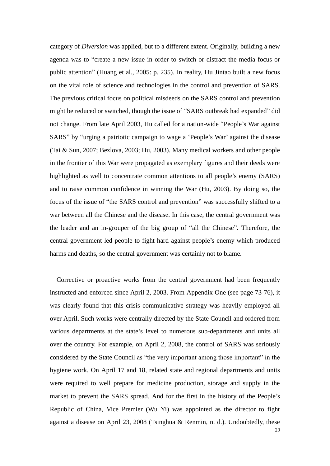category of *Diversion* was applied, but to a different extent. Originally, building a new agenda was to "create a new issue in order to switch or distract the media focus or public attention" (Huang et al., 2005: p. 235). In reality, Hu Jintao built a new focus on the vital role of science and technologies in the control and prevention of SARS. The previous critical focus on political misdeeds on the SARS control and prevention might be reduced or switched, though the issue of "SARS outbreak had expanded" did not change. From late April 2003, Hu called for a nation-wide "People's War against SARS" by "urging a patriotic campaign to wage a 'People's War' against the disease (Tai & Sun, 2007; Bezlova, 2003; Hu, 2003). Many medical workers and other people in the frontier of this War were propagated as exemplary figures and their deeds were highlighted as well to concentrate common attentions to all people's enemy (SARS) and to raise common confidence in winning the War (Hu, 2003). By doing so, the focus of the issue of "the SARS control and prevention" was successfully shifted to a war between all the Chinese and the disease. In this case, the central government was the leader and an in-grouper of the big group of "all the Chinese". Therefore, the central government led people to fight hard against people's enemy which produced harms and deaths, so the central government was certainly not to blame.

Corrective or proactive works from the central government had been frequently instructed and enforced since April 2, 2003. From Appendix One (see page 73-76), it was clearly found that this crisis communicative strategy was heavily employed all over April. Such works were centrally directed by the State Council and ordered from various departments at the state's level to numerous sub-departments and units all over the country. For example, on April 2, 2008, the control of SARS was seriously considered by the State Council as "the very important among those important" in the hygiene work. On April 17 and 18, related state and regional departments and units were required to well prepare for medicine production, storage and supply in the market to prevent the SARS spread. And for the first in the history of the People's Republic of China, Vice Premier (Wu Yi) was appointed as the director to fight against a disease on April 23, 2008 (Tsinghua & Renmin, n. d.). Undoubtedly, these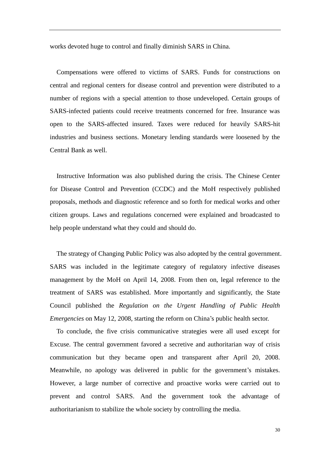works devoted huge to control and finally diminish SARS in China.

Compensations were offered to victims of SARS. Funds for constructions on central and regional centers for disease control and prevention were distributed to a number of regions with a special attention to those undeveloped. Certain groups of SARS-infected patients could receive treatments concerned for free. Insurance was open to the SARS-affected insured. Taxes were reduced for heavily SARS-hit industries and business sections. Monetary lending standards were loosened by the Central Bank as well.

Instructive Information was also published during the crisis. The Chinese Center for Disease Control and Prevention (CCDC) and the MoH respectively published proposals, methods and diagnostic reference and so forth for medical works and other citizen groups. Laws and regulations concerned were explained and broadcasted to help people understand what they could and should do.

The strategy of Changing Public Policy was also adopted by the central government. SARS was included in the legitimate category of regulatory infective diseases management by the MoH on April 14, 2008. From then on, legal reference to the treatment of SARS was established. More importantly and significantly, the State Council published the *Regulation on the Urgent Handling of Public Health Emergencies* on May 12, 2008, starting the reform on China's public health sector.

To conclude, the five crisis communicative strategies were all used except for Excuse. The central government favored a secretive and authoritarian way of crisis communication but they became open and transparent after April 20, 2008. Meanwhile, no apology was delivered in public for the government's mistakes. However, a large number of corrective and proactive works were carried out to prevent and control SARS. And the government took the advantage of authoritarianism to stabilize the whole society by controlling the media.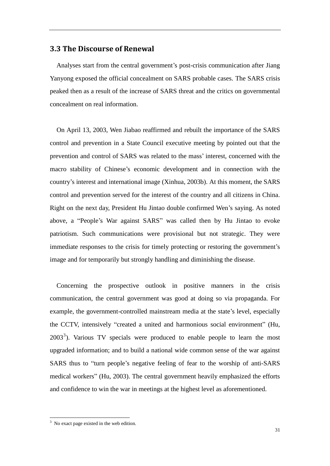### **3.3 The Discourse of Renewal**

 Analyses start from the central government's post-crisis communication after Jiang Yanyong exposed the official concealment on SARS probable cases. The SARS crisis peaked then as a result of the increase of SARS threat and the critics on governmental concealment on real information.

 On April 13, 2003, Wen Jiabao reaffirmed and rebuilt the importance of the SARS control and prevention in a State Council executive meeting by pointed out that the prevention and control of SARS was related to the mass' interest, concerned with the macro stability of Chinese's economic development and in connection with the country's interest and international image (Xinhua, 2003b). At this moment, the SARS control and prevention served for the interest of the country and all citizens in China. Right on the next day, President Hu Jintao double confirmed Wen's saying. As noted above, a "People's War against SARS" was called then by Hu Jintao to evoke patriotism. Such communications were provisional but not strategic. They were immediate responses to the crisis for timely protecting or restoring the government's image and for temporarily but strongly handling and diminishing the disease.

 Concerning the prospective outlook in positive manners in the crisis communication, the central government was good at doing so via propaganda. For example, the government-controlled mainstream media at the state's level, especially the CCTV, intensively "created a united and harmonious social environment" (Hu,  $2003<sup>3</sup>$ ). Various TV specials were produced to enable people to learn the most upgraded information; and to build a national wide common sense of the war against SARS thus to "turn people's negative feeling of fear to the worship of anti-SARS medical workers" (Hu, 2003). The central government heavily emphasized the efforts and confidence to win the war in meetings at the highest level as aforementioned.

-

 $3$  No exact page existed in the web edition.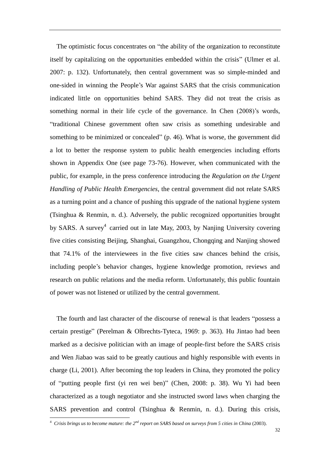The optimistic focus concentrates on "the ability of the organization to reconstitute itself by capitalizing on the opportunities embedded within the crisis" (Ulmer et al. 2007: p. 132). Unfortunately, then central government was so simple-minded and one-sided in winning the People's War against SARS that the crisis communication indicated little on opportunities behind SARS. They did not treat the crisis as something normal in their life cycle of the governance. In Chen (2008)'s words, ―traditional Chinese government often saw crisis as something undesirable and something to be minimized or concealed" (p. 46). What is worse, the government did a lot to better the response system to public health emergencies including efforts shown in Appendix One (see page 73-76). However, when communicated with the public, for example, in the press conference introducing the *Regulation on the Urgent Handling of Public Health Emergencies*, the central government did not relate SARS as a turning point and a chance of pushing this upgrade of the national hygiene system (Tsinghua & Renmin, n. d.). Adversely, the public recognized opportunities brought by SARS. A survey<sup>4</sup> carried out in late May, 2003, by Nanjing University covering five cities consisting Beijing, Shanghai, Guangzhou, Chongqing and Nanjing showed that 74.1% of the interviewees in the five cities saw chances behind the crisis, including people's behavior changes, hygiene knowledge promotion, reviews and research on public relations and the media reform. Unfortunately, this public fountain of power was not listened or utilized by the central government.

The fourth and last character of the discourse of renewal is that leaders "possess a certain prestige" (Perelman & Olbrechts-Tyteca, 1969: p. 363). Hu Jintao had been marked as a decisive politician with an image of people-first before the SARS crisis and Wen Jiabao was said to be greatly cautious and highly responsible with events in charge (Li, 2001). After becoming the top leaders in China, they promoted the policy of "putting people first (yi ren wei ben)" (Chen, 2008: p. 38). Wu Yi had been characterized as a tough negotiator and she instructed sword laws when charging the SARS prevention and control (Tsinghua & Renmin, n. d.). During this crisis,

-

<sup>4</sup> *Crisis brings us to become mature: the 2nd report on SARS based on surveys from 5 cities in China* (2003).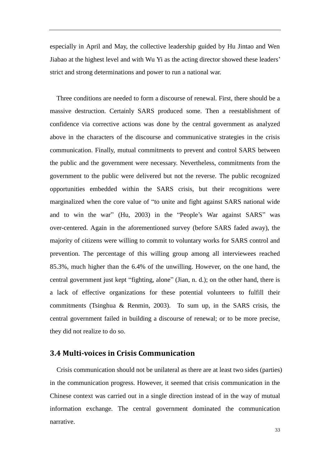especially in April and May, the collective leadership guided by Hu Jintao and Wen Jiabao at the highest level and with Wu Yi as the acting director showed these leaders' strict and strong determinations and power to run a national war.

 Three conditions are needed to form a discourse of renewal. First, there should be a massive destruction. Certainly SARS produced some. Then a reestablishment of confidence via corrective actions was done by the central government as analyzed above in the characters of the discourse and communicative strategies in the crisis communication. Finally, mutual commitments to prevent and control SARS between the public and the government were necessary. Nevertheless, commitments from the government to the public were delivered but not the reverse. The public recognized opportunities embedded within the SARS crisis, but their recognitions were marginalized when the core value of "to unite and fight against SARS national wide and to win the war" (Hu, 2003) in the "People's War against SARS" was over-centered. Again in the aforementioned survey (before SARS faded away), the majority of citizens were willing to commit to voluntary works for SARS control and prevention. The percentage of this willing group among all interviewees reached 85.3%, much higher than the 6.4% of the unwilling. However, on the one hand, the central government just kept "fighting, alone" (Jian, n. d.); on the other hand, there is a lack of effective organizations for these potential volunteers to fulfill their commitments (Tsinghua & Renmin, 2003). To sum up, in the SARS crisis, the central government failed in building a discourse of renewal; or to be more precise, they did not realize to do so.

### **3.4 Multi-voices in Crisis Communication**

 Crisis communication should not be unilateral as there are at least two sides (parties) in the communication progress. However, it seemed that crisis communication in the Chinese context was carried out in a single direction instead of in the way of mutual information exchange. The central government dominated the communication narrative.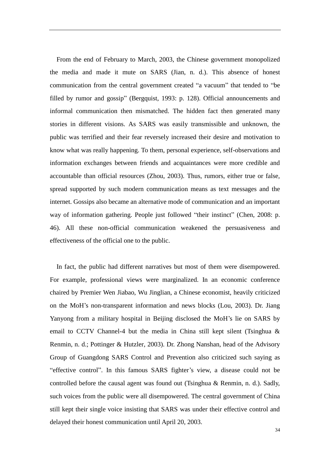From the end of February to March, 2003, the Chinese government monopolized the media and made it mute on SARS (Jian, n. d.). This absence of honest communication from the central government created "a vacuum" that tended to "be filled by rumor and gossip" (Bergquist, 1993: p. 128). Official announcements and informal communication then mismatched. The hidden fact then generated many stories in different visions. As SARS was easily transmissible and unknown, the public was terrified and their fear reversely increased their desire and motivation to know what was really happening. To them, personal experience, self-observations and information exchanges between friends and acquaintances were more credible and accountable than official resources (Zhou, 2003). Thus, rumors, either true or false, spread supported by such modern communication means as text messages and the internet. Gossips also became an alternative mode of communication and an important way of information gathering. People just followed "their instinct" (Chen, 2008: p. 46). All these non-official communication weakened the persuasiveness and effectiveness of the official one to the public.

In fact, the public had different narratives but most of them were disempowered. For example, professional views were marginalized. In an economic conference chaired by Premier Wen Jiabao, Wu Jinglian, a Chinese economist, heavily criticized on the MoH's non-transparent information and news blocks (Lou, 2003). Dr. Jiang Yanyong from a military hospital in Beijing disclosed the MoH's lie on SARS by email to CCTV Channel-4 but the media in China still kept silent (Tsinghua & Renmin, n. d.; Pottinger & Hutzler, 2003). Dr. Zhong Nanshan, head of the Advisory Group of Guangdong SARS Control and Prevention also criticized such saying as "effective control". In this famous SARS fighter's view, a disease could not be controlled before the causal agent was found out (Tsinghua & Renmin, n. d.). Sadly, such voices from the public were all disempowered. The central government of China still kept their single voice insisting that SARS was under their effective control and delayed their honest communication until April 20, 2003.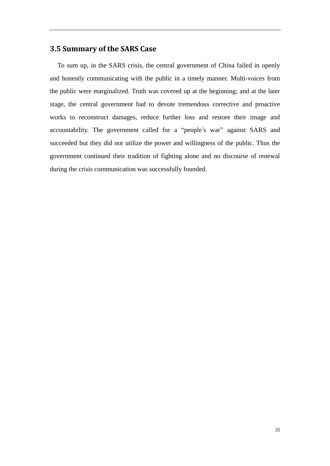## **3.5 Summary of the SARS Case**

To sum up, in the SARS crisis, the central government of China failed in openly and honestly communicating with the public in a timely manner. Multi-voices from the public were marginalized. Truth was covered up at the beginning; and at the later stage, the central government had to devote tremendous corrective and proactive works to reconstruct damages, reduce further loss and restore their image and accountability. The government called for a "people's war" against SARS and succeeded but they did not utilize the power and willingness of the public. Thus the government continued their tradition of fighting alone and no discourse of renewal during the crisis communication was successfully founded.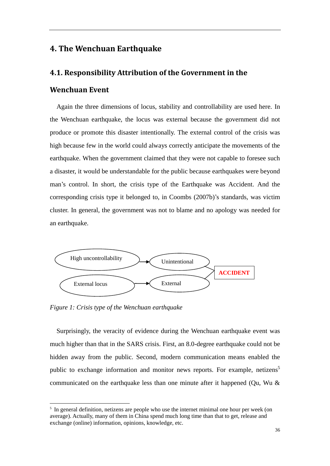## **4. The Wenchuan Earthquake**

## **4.1. Responsibility Attribution of the Government in the**

## **Wenchuan Event**

 Again the three dimensions of locus, stability and controllability are used here. In the Wenchuan earthquake, the locus was external because the government did not produce or promote this disaster intentionally. The external control of the crisis was high because few in the world could always correctly anticipate the movements of the earthquake. When the government claimed that they were not capable to foresee such a disaster, it would be understandable for the public because earthquakes were beyond man's control. In short, the crisis type of the Earthquake was Accident. And the corresponding crisis type it belonged to, in Coombs (2007b)'s standards, was victim cluster. In general, the government was not to blame and no apology was needed for an earthquake.



*Figure 1: Crisis type of the Wenchuan earthquake*

<u>.</u>

 Surprisingly, the veracity of evidence during the Wenchuan earthquake event was much higher than that in the SARS crisis. First, an 8.0-degree earthquake could not be hidden away from the public. Second, modern communication means enabled the public to exchange information and monitor news reports. For example, netizens<sup>5</sup> communicated on the earthquake less than one minute after it happened (Qu, Wu  $\&$ 

<sup>&</sup>lt;sup>5</sup> In general definition, netizens are people who use the internet minimal one hour per week (on average). Actually, many of them in China spend much long time than that to get, release and exchange (online) information, opinions, knowledge, etc.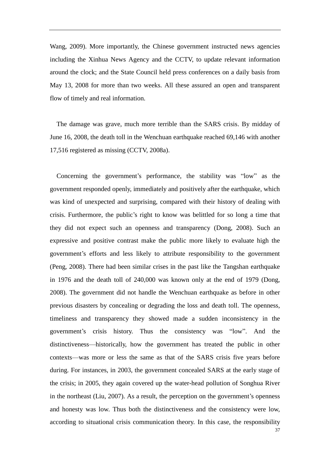Wang, 2009). More importantly, the Chinese government instructed news agencies including the Xinhua News Agency and the CCTV, to update relevant information around the clock; and the State Council held press conferences on a daily basis from May 13, 2008 for more than two weeks. All these assured an open and transparent flow of timely and real information.

 The damage was grave, much more terrible than the SARS crisis. By midday of June 16, 2008, the death toll in the Wenchuan earthquake reached 69,146 with another 17,516 registered as missing (CCTV, 2008a).

Concerning the government's performance, the stability was "low" as the government responded openly, immediately and positively after the earthquake, which was kind of unexpected and surprising, compared with their history of dealing with crisis. Furthermore, the public's right to know was belittled for so long a time that they did not expect such an openness and transparency (Dong, 2008). Such an expressive and positive contrast make the public more likely to evaluate high the government's efforts and less likely to attribute responsibility to the government (Peng, 2008). There had been similar crises in the past like the Tangshan earthquake in 1976 and the death toll of 240,000 was known only at the end of 1979 (Dong, 2008). The government did not handle the Wenchuan earthquake as before in other previous disasters by concealing or degrading the loss and death toll. The openness, timeliness and transparency they showed made a sudden inconsistency in the government's crisis history. Thus the consistency was "low". And the distinctiveness—historically, how the government has treated the public in other contexts—was more or less the same as that of the SARS crisis five years before during. For instances, in 2003, the government concealed SARS at the early stage of the crisis; in 2005, they again covered up the water-head pollution of Songhua River in the northeast (Liu, 2007). As a result, the perception on the government's openness and honesty was low. Thus both the distinctiveness and the consistency were low, according to situational crisis communication theory. In this case, the responsibility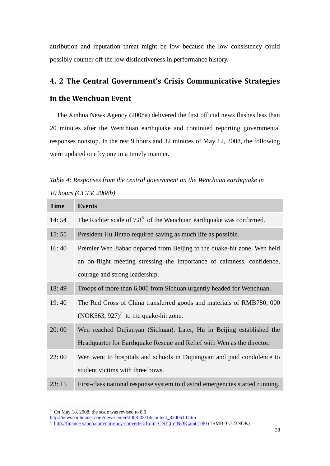attribution and reputation threat might be low because the low consistency could possibly counter off the low distinctiveness in performance history.

## **4. 2 The Central Government's Crisis Communicative Strategies**

### **in the Wenchuan Event**

 The Xinhua News Agency (2008a) delivered the first official news flashes less than 20 minutes after the Wenchuan earthquake and continued reporting governmental responses nonstop. In the rest 9 hours and 32 minutes of May 12, 2008, the following were updated one by one in a timely manner.

| Table 4: Responses from the central government on the Wenchuan earthquake in |  |  |
|------------------------------------------------------------------------------|--|--|
| 10 hours $(CCTV, 2008b)$                                                     |  |  |

| <b>Time</b> | <b>Events</b>                                                                                                                                      |
|-------------|----------------------------------------------------------------------------------------------------------------------------------------------------|
| 14:54       | The Richter scale of $7.86$ of the Wenchuan earthquake was confirmed.                                                                              |
| 15:55       | President Hu Jintao required saving as much life as possible.                                                                                      |
| 16:40       | Premier Wen Jiabao departed from Beijing to the quake-hit zone. Wen held<br>an on-flight meeting stressing the importance of calmness, confidence, |
|             | courage and strong leadership.                                                                                                                     |
| 18:49       | Troops of more than 6,000 from Sichuan urgently headed for Wenchuan.                                                                               |
| 19:40       | The Red Cross of China transferred goods and materials of RMB780, 000                                                                              |
|             | $(NOK563, 927)^7$ to the quake-hit zone.                                                                                                           |
| 20:00       | Wen reached Dujianyan (Sichuan). Later, Hu in Beijing established the                                                                              |
|             | Headquarter for Earthquake Rescue and Relief with Wen as the director.                                                                             |
| 22:00       | Wen went to hospitals and schools in Dujiangyan and paid condolence to                                                                             |
|             | student victims with three bows.                                                                                                                   |
| 23:15       | First-class national response system to diastral emergencies started running.                                                                      |

 $6$  On May 18, 2008, the scale was revised to 8.0.

<u>.</u>

[http://news.xinhuanet.com/newscenter/2008-05/18/content\\_8200610.htm](http://news.xinhuanet.com/newscenter/2008-05/18/content_8200610.htm)

<sup>7</sup> <http://finance.yahoo.com/currency-converter#from=CNY;to=NOK;amt=780> (1RMB=0.723NOK)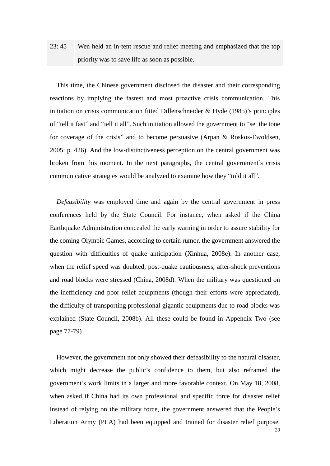# 23: 45 Wen held an in-tent rescue and relief meeting and emphasized that the top priority was to save life as soon as possible.

 This time, the Chinese government disclosed the disaster and their corresponding reactions by implying the fastest and most proactive crisis communication. This initiation on crisis communication fitted Dillenschneider & Hyde (1985)'s principles of "tell it fast" and "tell it all". Such initiation allowed the government to "set the tone for coverage of the crisis" and to become persuasive (Arpan  $\&$  Roskos-Ewoldsen, 2005: p. 426). And the low-distinctiveness perception on the central government was broken from this moment. In the next paragraphs, the central government's crisis communicative strategies would be analyzed to examine how they "told it all".

 *Defeasibility* was employed time and again by the central government in press conferences held by the State Council. For instance, when asked if the China Earthquake Administration concealed the early warning in order to assure stability for the coming Olympic Games, according to certain rumor, the government answered the question with difficulties of quake anticipation (Xinhua, 2008e). In another case, when the relief speed was doubted, post-quake cautiousness, after-shock preventions and road blocks were stressed (China, 2008d). When the military was questioned on the inefficiency and poor relief equipments (though their efforts were appreciated), the difficulty of transporting professional gigantic equipments due to road blocks was explained (State Council, 2008b). All these could be found in Appendix Two (see page 77-79)

 However, the government not only showed their defeasibility to the natural disaster, which might decrease the public's confidence to them, but also reframed the government's work limits in a larger and more favorable context. On May 18, 2008, when asked if China had its own professional and specific force for disaster relief instead of relying on the military force, the government answered that the People's Liberation Army (PLA) had been equipped and trained for disaster relief purpose.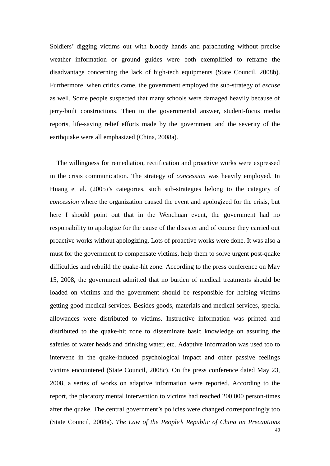Soldiers' digging victims out with bloody hands and parachuting without precise weather information or ground guides were both exemplified to reframe the disadvantage concerning the lack of high-tech equipments (State Council, 2008b). Furthermore, when critics came, the government employed the sub-strategy of *excuse* as well. Some people suspected that many schools were damaged heavily because of jerry-built constructions. Then in the governmental answer, student-focus media reports, life-saving relief efforts made by the government and the severity of the earthquake were all emphasized (China, 2008a).

40 The willingness for remediation, rectification and proactive works were expressed in the crisis communication. The strategy of *concession* was heavily employed. In Huang et al. (2005)'s categories, such sub-strategies belong to the category of *concession* where the organization caused the event and apologized for the crisis, but here I should point out that in the Wenchuan event, the government had no responsibility to apologize for the cause of the disaster and of course they carried out proactive works without apologizing. Lots of proactive works were done. It was also a must for the government to compensate victims, help them to solve urgent post-quake difficulties and rebuild the quake-hit zone. According to the press conference on May 15, 2008, the government admitted that no burden of medical treatments should be loaded on victims and the government should be responsible for helping victims getting good medical services. Besides goods, materials and medical services, special allowances were distributed to victims. Instructive information was printed and distributed to the quake-hit zone to disseminate basic knowledge on assuring the safeties of water heads and drinking water, etc. Adaptive Information was used too to intervene in the quake-induced psychological impact and other passive feelings victims encountered (State Council, 2008c). On the press conference dated May 23, 2008, a series of works on adaptive information were reported. According to the report, the placatory mental intervention to victims had reached 200,000 person-times after the quake. The central government's policies were changed correspondingly too (State Council, 2008a). *The Law of the People's Republic of China on Precautions*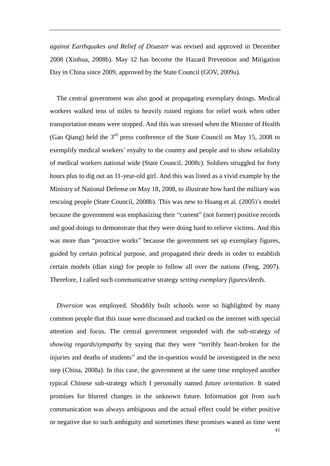*against Earthquakes and Relief of Disaster* was revised and approved in December 2008 (Xinhua, 2008b). May 12 has become the Hazard Prevention and Mitigation Day in China since 2009, approved by the State Council (GOV, 2009a).

 The central government was also good at propagating exemplary doings. Medical workers walked tens of miles to heavily ruined regions for relief work when other transportation means were stopped. And this was stressed when the Minister of Health (Gao Qiang) held the  $3<sup>rd</sup>$  press conference of the State Council on May 15, 2008 to exemplify medical workers' royalty to the country and people and to show reliability of medical workers national wide (State Council, 2008c). Soldiers struggled for forty hours plus to dig out an 11-year-old girl. And this was listed as a vivid example by the Ministry of National Defense on May 18, 2008, to illustrate how hard the military was rescuing people (State Council, 2008b). This was new to Huang et al. (2005)'s model because the government was emphasizing their "current" (not former) positive records and good doings to demonstrate that they were doing hard to relieve victims. And this was more than "proactive works" because the government set up exemplary figures, guided by certain political purpose, and propagated their deeds in order to establish certain models (dian xing) for people to follow all over the nations (Feng, 2007). Therefore, I called such communicative strategy *setting exemplary figures/deeds*.

*Diversion* was employed. Shoddily built schools were so highlighted by many common people that this issue were discussed and tracked on the internet with special attention and focus. The central government responded with the sub-strategy of *showing regards/sympathy* by saying that they were "terribly heart-broken for the injuries and deaths of students" and the in-question would be investigated in the next step (China, 2008a). In this case, the government at the same time employed another typical Chinese sub-strategy which I personally named *future orientation*. It stated promises for blurred changes in the unknown future. Information got from such communication was always ambiguous and the actual effect could be either positive or negative due to such ambiguity and sometimes these promises waned as time went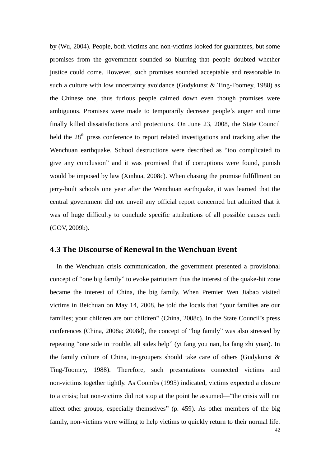by (Wu, 2004). People, both victims and non-victims looked for guarantees, but some promises from the government sounded so blurring that people doubted whether justice could come. However, such promises sounded acceptable and reasonable in such a culture with low uncertainty avoidance (Gudykunst  $&$  Ting-Toomey, 1988) as the Chinese one, thus furious people calmed down even though promises were ambiguous. Promises were made to temporarily decrease people's anger and time finally killed dissatisfactions and protections. On June 23, 2008, the State Council held the 28<sup>th</sup> press conference to report related investigations and tracking after the Wenchuan earthquake. School destructions were described as "too complicated to give any conclusion" and it was promised that if corruptions were found, punish would be imposed by law (Xinhua, 2008c). When chasing the promise fulfillment on jerry-built schools one year after the Wenchuan earthquake, it was learned that the central government did not unveil any official report concerned but admitted that it was of huge difficulty to conclude specific attributions of all possible causes each (GOV, 2009b).

### **4.3 The Discourse of Renewal in the Wenchuan Event**

 In the Wenchuan crisis communication, the government presented a provisional concept of "one big family" to evoke patriotism thus the interest of the quake-hit zone became the interest of China, the big family. When Premier Wen Jiabao visited victims in Beichuan on May 14, 2008, he told the locals that "your families are our families; your children are our children" (China, 2008c). In the State Council's press conferences (China, 2008a; 2008d), the concept of "big family" was also stressed by repeating "one side in trouble, all sides help" (yi fang you nan, ba fang zhi yuan). In the family culture of China, in-groupers should take care of others (Gudykunst & Ting-Toomey, 1988). Therefore, such presentations connected victims and non-victims together tightly. As Coombs (1995) indicated, victims expected a closure to a crisis; but non-victims did not stop at the point he assumed—"the crisis will not affect other groups, especially themselves"  $(p. 459)$ . As other members of the big family, non-victims were willing to help victims to quickly return to their normal life.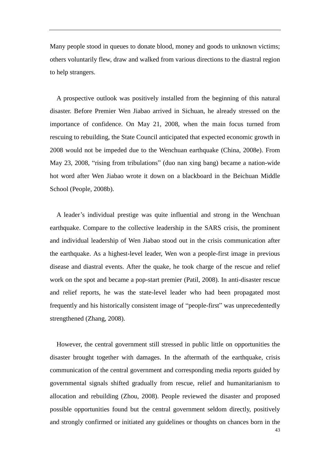Many people stood in queues to donate blood, money and goods to unknown victims; others voluntarily flew, draw and walked from various directions to the diastral region to help strangers.

 A prospective outlook was positively installed from the beginning of this natural disaster. Before Premier Wen Jiabao arrived in Sichuan, he already stressed on the importance of confidence. On May 21, 2008, when the main focus turned from rescuing to rebuilding, the State Council anticipated that expected economic growth in 2008 would not be impeded due to the Wenchuan earthquake (China, 2008e). From May 23, 2008, "rising from tribulations" (duo nan xing bang) became a nation-wide hot word after Wen Jiabao wrote it down on a blackboard in the Beichuan Middle School (People, 2008b).

 A leader's individual prestige was quite influential and strong in the Wenchuan earthquake. Compare to the collective leadership in the SARS crisis, the prominent and individual leadership of Wen Jiabao stood out in the crisis communication after the earthquake. As a highest-level leader, Wen won a people-first image in previous disease and diastral events. After the quake, he took charge of the rescue and relief work on the spot and became a pop-start premier (Patil, 2008). In anti-disaster rescue and relief reports, he was the state-level leader who had been propagated most frequently and his historically consistent image of "people-first" was unprecedentedly strengthened (Zhang, 2008).

43 However, the central government still stressed in public little on opportunities the disaster brought together with damages. In the aftermath of the earthquake, crisis communication of the central government and corresponding media reports guided by governmental signals shifted gradually from rescue, relief and humanitarianism to allocation and rebuilding (Zhou, 2008). People reviewed the disaster and proposed possible opportunities found but the central government seldom directly, positively and strongly confirmed or initiated any guidelines or thoughts on chances born in the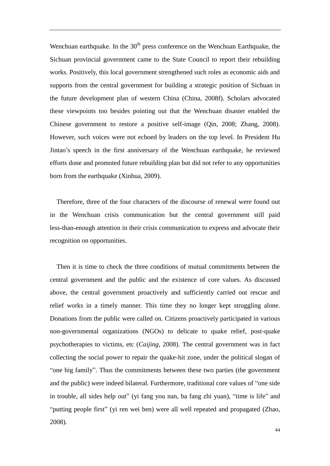Wenchuan earthquake. In the  $30<sup>th</sup>$  press conference on the Wenchuan Earthquake, the Sichuan provincial government came to the State Council to report their rebuilding works. Positively, this local government strengthened such roles as economic aids and supports from the central government for building a strategic position of Sichuan in the future development plan of western China (China, 2008f). Scholars advocated these viewpoints too besides pointing out that the Wenchuan disaster enabled the Chinese government to restore a positive self-image (Qin, 2008; Zhang, 2008). However, such voices were not echoed by leaders on the top level. In President Hu Jintao's speech in the first anniversary of the Wenchuan earthquake, he reviewed efforts done and promoted future rebuilding plan but did not refer to any opportunities born from the earthquake (Xinhua, 2009).

 Therefore, three of the four characters of the discourse of renewal were found out in the Wenchuan crisis communication but the central government still paid less-than-enough attention in their crisis communication to express and advocate their recognition on opportunities.

Then it is time to check the three conditions of mutual commitments between the central government and the public and the existence of core values. As discussed above, the central government proactively and sufficiently carried out rescue and relief works in a timely manner. This time they no longer kept struggling alone. Donations from the public were called on. Citizens proactively participated in various non-governmental organizations (NGOs) to delicate to quake relief, post-quake psychotherapies to victims, etc (*Caijing*, 2008). The central government was in fact collecting the social power to repair the quake-hit zone, under the political slogan of "one big family". Thus the commitments between these two parties (the government and the public) were indeed bilateral. Furthermore, traditional core values of "one side in trouble, all sides help out" (yi fang you nan, ba fang zhi yuan), "time is life" and "putting people first" (yi ren wei ben) were all well repeated and propagated (Zhao, 2008).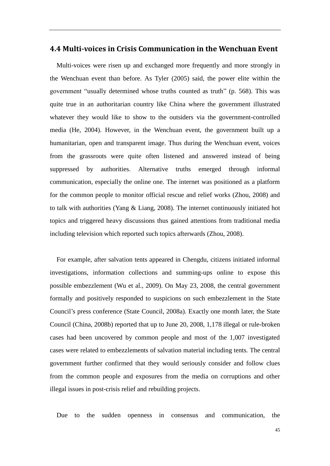### **4.4 Multi-voices in Crisis Communication in the Wenchuan Event**

 Multi-voices were risen up and exchanged more frequently and more strongly in the Wenchuan event than before. As Tyler (2005) said, the power elite within the government "usually determined whose truths counted as truth" (p. 568). This was quite true in an authoritarian country like China where the government illustrated whatever they would like to show to the outsiders via the government-controlled media (He, 2004). However, in the Wenchuan event, the government built up a humanitarian, open and transparent image. Thus during the Wenchuan event, voices from the grassroots were quite often listened and answered instead of being suppressed by authorities. Alternative truths emerged through informal communication, especially the online one. The internet was positioned as a platform for the common people to monitor official rescue and relief works (Zhou, 2008) and to talk with authorities (Yang & Liang, 2008). The internet continuously initiated hot topics and triggered heavy discussions thus gained attentions from traditional media including television which reported such topics afterwards (Zhou, 2008).

For example, after salvation tents appeared in Chengdu, citizens initiated informal investigations, information collections and summing-ups online to expose this possible embezzlement (Wu et al., 2009). On May 23, 2008, the central government formally and positively responded to suspicions on such embezzlement in the State Council's press conference (State Council, 2008a). Exactly one month later, the State Council (China, 2008b) reported that up to June 20, 2008, 1,178 illegal or rule-broken cases had been uncovered by common people and most of the 1,007 investigated cases were related to embezzlements of salvation material including tents. The central government further confirmed that they would seriously consider and follow clues from the common people and exposures from the media on corruptions and other illegal issues in post-crisis relief and rebuilding projects.

Due to the sudden openness in consensus and communication, the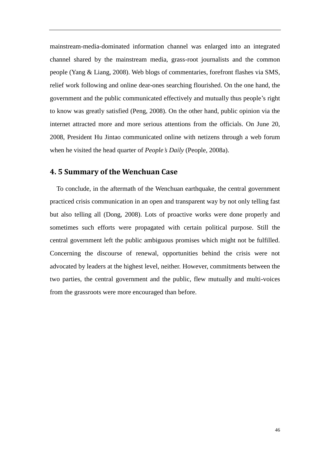mainstream-media-dominated information channel was enlarged into an integrated channel shared by the mainstream media, grass-root journalists and the common people (Yang & Liang, 2008). Web blogs of commentaries, forefront flashes via SMS, relief work following and online dear-ones searching flourished. On the one hand, the government and the public communicated effectively and mutually thus people's right to know was greatly satisfied (Peng, 2008). On the other hand, public opinion via the internet attracted more and more serious attentions from the officials. On June 20, 2008, President Hu Jintao communicated online with netizens through a web forum when he visited the head quarter of *People's Daily* (People, 2008a).

### **4. 5 Summary of the Wenchuan Case**

To conclude, in the aftermath of the Wenchuan earthquake, the central government practiced crisis communication in an open and transparent way by not only telling fast but also telling all (Dong, 2008). Lots of proactive works were done properly and sometimes such efforts were propagated with certain political purpose. Still the central government left the public ambiguous promises which might not be fulfilled. Concerning the discourse of renewal, opportunities behind the crisis were not advocated by leaders at the highest level, neither. However, commitments between the two parties, the central government and the public, flew mutually and multi-voices from the grassroots were more encouraged than before.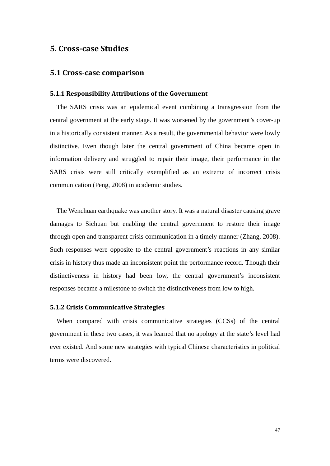## **5. Cross-case Studies**

#### **5.1 Cross-case comparison**

#### **5.1.1 Responsibility Attributions of the Government**

 The SARS crisis was an epidemical event combining a transgression from the central government at the early stage. It was worsened by the government's cover-up in a historically consistent manner. As a result, the governmental behavior were lowly distinctive. Even though later the central government of China became open in information delivery and struggled to repair their image, their performance in the SARS crisis were still critically exemplified as an extreme of incorrect crisis communication (Peng, 2008) in academic studies.

The Wenchuan earthquake was another story. It was a natural disaster causing grave damages to Sichuan but enabling the central government to restore their image through open and transparent crisis communication in a timely manner (Zhang, 2008). Such responses were opposite to the central government's reactions in any similar crisis in history thus made an inconsistent point the performance record. Though their distinctiveness in history had been low, the central government's inconsistent responses became a milestone to switch the distinctiveness from low to high.

#### **5.1.2 Crisis Communicative Strategies**

 When compared with crisis communicative strategies (CCSs) of the central government in these two cases, it was learned that no apology at the state's level had ever existed. And some new strategies with typical Chinese characteristics in political terms were discovered.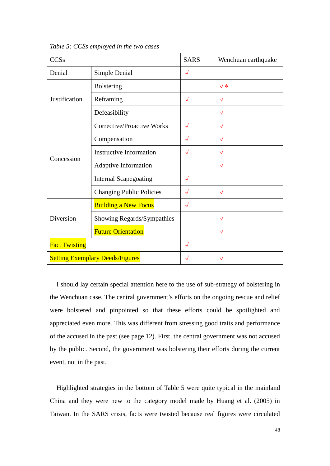*Table 5: CCSs employed in the two cases*

| <b>CCSs</b>                            |                                 | <b>SARS</b> | Wenchuan earthquake |
|----------------------------------------|---------------------------------|-------------|---------------------|
| Denial                                 | Simple Denial                   | $\sqrt{}$   |                     |
| Justification                          | <b>Bolstering</b>               |             | $\sqrt{*}$          |
|                                        | Reframing                       | $\sqrt{}$   |                     |
|                                        | Defeasibility                   |             | $\sqrt{}$           |
| Concession                             | Corrective/Proactive Works      | $\sqrt{}$   | $\sqrt{}$           |
|                                        | Compensation                    | $\sqrt{}$   | $\sqrt{}$           |
|                                        | <b>Instructive Information</b>  | $\sqrt{}$   |                     |
|                                        | Adaptive Information            |             | $\sqrt{}$           |
|                                        | <b>Internal Scapegoating</b>    | $\sqrt{}$   |                     |
|                                        | <b>Changing Public Policies</b> | $\sqrt{}$   | $\sqrt{}$           |
| Diversion                              | <b>Building a New Focus</b>     | $\sqrt{}$   |                     |
|                                        | Showing Regards/Sympathies      |             | $\sqrt{}$           |
|                                        | <b>Future Orientation</b>       |             |                     |
| <b>Fact Twisting</b>                   |                                 | $\sqrt{}$   |                     |
| <b>Setting Exemplary Deeds/Figures</b> |                                 | $\sqrt{}$   |                     |

 I should lay certain special attention here to the use of sub-strategy of bolstering in the Wenchuan case. The central government's efforts on the ongoing rescue and relief were bolstered and pinpointed so that these efforts could be spotlighted and appreciated even more. This was different from stressing good traits and performance of the accused in the past (see page 12). First, the central government was not accused by the public. Second, the government was bolstering their efforts during the current event, not in the past.

 Highlighted strategies in the bottom of Table 5 were quite typical in the mainland China and they were new to the category model made by Huang et al. (2005) in Taiwan. In the SARS crisis, facts were twisted because real figures were circulated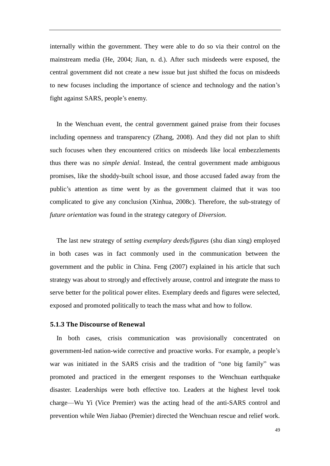internally within the government. They were able to do so via their control on the mainstream media (He, 2004; Jian, n. d.). After such misdeeds were exposed, the central government did not create a new issue but just shifted the focus on misdeeds to new focuses including the importance of science and technology and the nation's fight against SARS, people's enemy.

In the Wenchuan event, the central government gained praise from their focuses including openness and transparency (Zhang, 2008). And they did not plan to shift such focuses when they encountered critics on misdeeds like local embezzlements thus there was no *simple denial*. Instead, the central government made ambiguous promises, like the shoddy-built school issue, and those accused faded away from the public's attention as time went by as the government claimed that it was too complicated to give any conclusion (Xinhua, 2008c). Therefore, the sub-strategy of *future orientation* was found in the strategy category of *Diversion*.

 The last new strategy of *setting exemplary deeds/figures* (shu dian xing) employed in both cases was in fact commonly used in the communication between the government and the public in China. Feng (2007) explained in his article that such strategy was about to strongly and effectively arouse, control and integrate the mass to serve better for the political power elites. Exemplary deeds and figures were selected, exposed and promoted politically to teach the mass what and how to follow.

#### **5.1.3 The Discourse of Renewal**

 In both cases, crisis communication was provisionally concentrated on government-led nation-wide corrective and proactive works. For example, a people's war was initiated in the SARS crisis and the tradition of "one big family" was promoted and practiced in the emergent responses to the Wenchuan earthquake disaster. Leaderships were both effective too. Leaders at the highest level took charge—Wu Yi (Vice Premier) was the acting head of the anti-SARS control and prevention while Wen Jiabao (Premier) directed the Wenchuan rescue and relief work.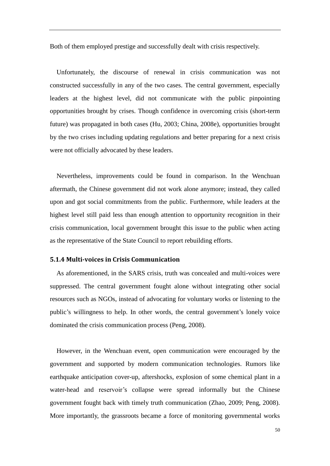Both of them employed prestige and successfully dealt with crisis respectively.

 Unfortunately, the discourse of renewal in crisis communication was not constructed successfully in any of the two cases. The central government, especially leaders at the highest level, did not communicate with the public pinpointing opportunities brought by crises. Though confidence in overcoming crisis (short-term future) was propagated in both cases (Hu, 2003; China, 2008e), opportunities brought by the two crises including updating regulations and better preparing for a next crisis were not officially advocated by these leaders.

Nevertheless, improvements could be found in comparison. In the Wenchuan aftermath, the Chinese government did not work alone anymore; instead, they called upon and got social commitments from the public. Furthermore, while leaders at the highest level still paid less than enough attention to opportunity recognition in their crisis communication, local government brought this issue to the public when acting as the representative of the State Council to report rebuilding efforts.

#### **5.1.4 Multi-voices in Crisis Communication**

 As aforementioned, in the SARS crisis, truth was concealed and multi-voices were suppressed. The central government fought alone without integrating other social resources such as NGOs, instead of advocating for voluntary works or listening to the public's willingness to help. In other words, the central government's lonely voice dominated the crisis communication process (Peng, 2008).

However, in the Wenchuan event, open communication were encouraged by the government and supported by modern communication technologies. Rumors like earthquake anticipation cover-up, aftershocks, explosion of some chemical plant in a water-head and reservoir's collapse were spread informally but the Chinese government fought back with timely truth communication (Zhao, 2009; Peng, 2008). More importantly, the grassroots became a force of monitoring governmental works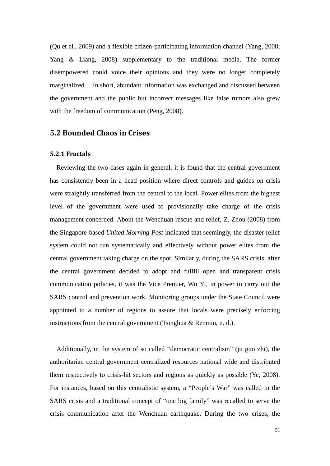(Qu et al., 2009) and a flexible citizen-participating information channel (Yang, 2008; Yang & Liang, 2008) supplementary to the traditional media. The former disempowered could voice their opinions and they were no longer completely marginalized. In short, abundant information was exchanged and discussed between the government and the public but incorrect messages like false rumors also grew with the freedom of communication (Peng, 2008).

## **5.2 Bounded Chaos in Crises**

#### **5.2.1 Fractals**

 Reviewing the two cases again in general, it is found that the central government has consistently been in a head position where direct controls and guides on crisis were straightly transferred from the central to the local. Power elites from the highest level of the government were used to provisionally take charge of the crisis management concerned. About the Wenchuan rescue and relief, Z. Zhou (2008) from the Singapore-based *United Morning Post* indicated that seemingly, the disaster relief system could not run systematically and effectively without power elites from the central government taking charge on the spot. Similarly, during the SARS crisis, after the central government decided to adopt and fulfill open and transparent crisis communication policies, it was the Vice Premier, Wu Yi, in power to carry out the SARS control and prevention work. Monitoring groups under the State Council were appointed to a number of regions to assure that locals were precisely enforcing instructions from the central government (Tsinghua & Renmin, n. d.).

Additionally, in the system of so called "democratic centralism" (ju guo zhi), the authoritarian central government centralized resources national wide and distributed them respectively to crisis-hit sectors and regions as quickly as possible (Ye, 2008). For instances, based on this centralistic system, a "People's War" was called in the SARS crisis and a traditional concept of "one big family" was recalled to serve the crisis communication after the Wenchuan earthquake. During the two crises, the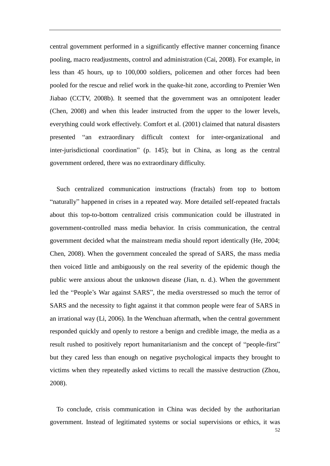central government performed in a significantly effective manner concerning finance pooling, macro readjustments, control and administration (Cai, 2008). For example, in less than 45 hours, up to 100,000 soldiers, policemen and other forces had been pooled for the rescue and relief work in the quake-hit zone, according to Premier Wen Jiabao (CCTV, 2008b). It seemed that the government was an omnipotent leader (Chen, 2008) and when this leader instructed from the upper to the lower levels, everything could work effectively. Comfort et al. (2001) claimed that natural disasters presented "an extraordinary difficult context for inter-organizational and inter-jurisdictional coordination" (p. 145); but in China, as long as the central government ordered, there was no extraordinary difficulty.

Such centralized communication instructions (fractals) from top to bottom "naturally" happened in crises in a repeated way. More detailed self-repeated fractals about this top-to-bottom centralized crisis communication could be illustrated in government-controlled mass media behavior. In crisis communication, the central government decided what the mainstream media should report identically (He, 2004; Chen, 2008). When the government concealed the spread of SARS, the mass media then voiced little and ambiguously on the real severity of the epidemic though the public were anxious about the unknown disease (Jian, n. d.). When the government led the "People's War against SARS", the media overstressed so much the terror of SARS and the necessity to fight against it that common people were fear of SARS in an irrational way (Li, 2006). In the Wenchuan aftermath, when the central government responded quickly and openly to restore a benign and credible image, the media as a result rushed to positively report humanitarianism and the concept of "people-first" but they cared less than enough on negative psychological impacts they brought to victims when they repeatedly asked victims to recall the massive destruction (Zhou, 2008).

To conclude, crisis communication in China was decided by the authoritarian government. Instead of legitimated systems or social supervisions or ethics, it was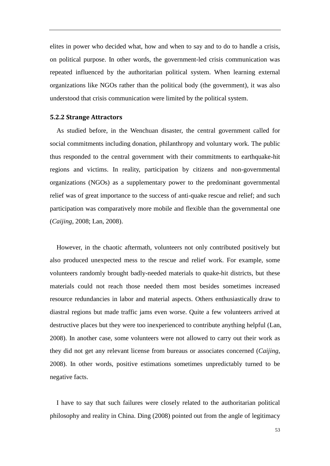elites in power who decided what, how and when to say and to do to handle a crisis, on political purpose. In other words, the government-led crisis communication was repeated influenced by the authoritarian political system. When learning external organizations like NGOs rather than the political body (the government), it was also understood that crisis communication were limited by the political system.

#### **5.2.2 Strange Attractors**

As studied before, in the Wenchuan disaster, the central government called for social commitments including donation, philanthropy and voluntary work. The public thus responded to the central government with their commitments to earthquake-hit regions and victims. In reality, participation by citizens and non-governmental organizations (NGOs) as a supplementary power to the predominant governmental relief was of great importance to the success of anti-quake rescue and relief; and such participation was comparatively more mobile and flexible than the governmental one (*Caijing*, 2008; Lan, 2008).

However, in the chaotic aftermath, volunteers not only contributed positively but also produced unexpected mess to the rescue and relief work. For example, some volunteers randomly brought badly-needed materials to quake-hit districts, but these materials could not reach those needed them most besides sometimes increased resource redundancies in labor and material aspects. Others enthusiastically draw to diastral regions but made traffic jams even worse. Quite a few volunteers arrived at destructive places but they were too inexperienced to contribute anything helpful (Lan, 2008). In another case, some volunteers were not allowed to carry out their work as they did not get any relevant license from bureaus or associates concerned (*Caijing*, 2008). In other words, positive estimations sometimes unpredictably turned to be negative facts.

 I have to say that such failures were closely related to the authoritarian political philosophy and reality in China. Ding (2008) pointed out from the angle of legitimacy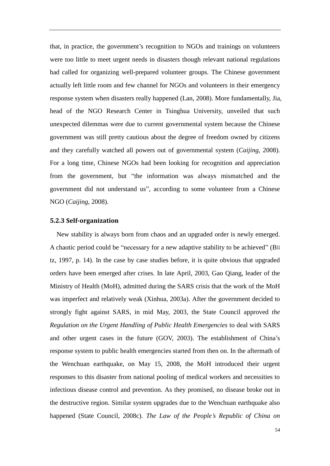that, in practice, the government's recognition to NGOs and trainings on volunteers were too little to meet urgent needs in disasters though relevant national regulations had called for organizing well-prepared volunteer groups. The Chinese government actually left little room and few channel for NGOs and volunteers in their emergency response system when disasters really happened (Lan, 2008). More fundamentally, Jia, head of the NGO Research Center in Tsinghua University, unveiled that such unexpected dilemmas were due to current governmental system because the Chinese government was still pretty cautious about the degree of freedom owned by citizens and they carefully watched all powers out of governmental system (*Caijing*, 2008). For a long time, Chinese NGOs had been looking for recognition and appreciation from the government, but "the information was always mismatched and the government did not understand us", according to some volunteer from a Chinese NGO (*Caijing*, 2008).

#### **5.2.3 Self-organization**

 New stability is always born from chaos and an upgraded order is newly emerged. A chaotic period could be "necessary for a new adaptive stability to be achieved" (Bü tz, 1997, p. 14). In the case by case studies before, it is quite obvious that upgraded orders have been emerged after crises. In late April, 2003, Gao Qiang, leader of the Ministry of Health (MoH), admitted during the SARS crisis that the work of the MoH was imperfect and relatively weak (Xinhua, 2003a). After the government decided to strongly fight against SARS, in mid May, 2003, the State Council approved *the Regulation on the Urgent Handling of Public Health Emergencies* to deal with SARS and other urgent cases in the future (GOV, 2003). The establishment of China's response system to public health emergencies started from then on. In the aftermath of the Wenchuan earthquake, on May 15, 2008, the MoH introduced their urgent responses to this disaster from national pooling of medical workers and necessities to infectious disease control and prevention. As they promised, no disease broke out in the destructive region. Similar system upgrades due to the Wenchuan earthquake also happened (State Council, 2008c). *The Law of the People's Republic of China on*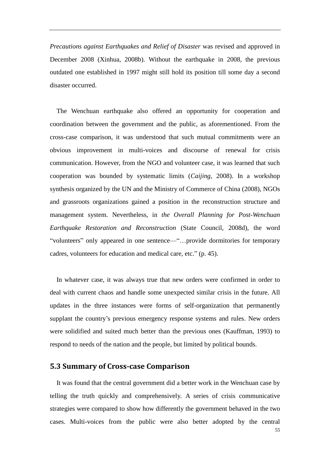*Precautions against Earthquakes and Relief of Disaster* was revised and approved in December 2008 (Xinhua, 2008b). Without the earthquake in 2008, the previous outdated one established in 1997 might still hold its position till some day a second disaster occurred.

The Wenchuan earthquake also offered an opportunity for cooperation and coordination between the government and the public, as aforementioned. From the cross-case comparison, it was understood that such mutual commitments were an obvious improvement in multi-voices and discourse of renewal for crisis communication. However, from the NGO and volunteer case, it was learned that such cooperation was bounded by systematic limits (*Caijing*, 2008). In a workshop synthesis organized by the UN and the Ministry of Commerce of China (2008), NGOs and grassroots organizations gained a position in the reconstruction structure and management system. Nevertheless, in *the Overall Planning for Post-Wenchuan Earthquake Restoration and Reconstruction* (State Council, 2008d), the word "volunteers" only appeared in one sentence—"...provide dormitories for temporary cadres, volunteers for education and medical care, etc." (p. 45).

In whatever case, it was always true that new orders were confirmed in order to deal with current chaos and handle some unexpected similar crisis in the future. All updates in the three instances were forms of self-organization that permanently supplant the country's previous emergency response systems and rules. New orders were solidified and suited much better than the previous ones (Kauffman, 1993) to respond to needs of the nation and the people, but limited by political bounds.

### **5.3 Summary of Cross-case Comparison**

 It was found that the central government did a better work in the Wenchuan case by telling the truth quickly and comprehensively. A series of crisis communicative strategies were compared to show how differently the government behaved in the two cases. Multi-voices from the public were also better adopted by the central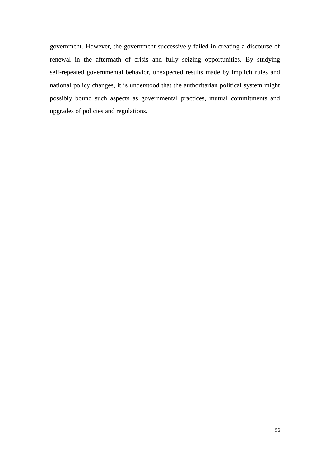government. However, the government successively failed in creating a discourse of renewal in the aftermath of crisis and fully seizing opportunities. By studying self-repeated governmental behavior, unexpected results made by implicit rules and national policy changes, it is understood that the authoritarian political system might possibly bound such aspects as governmental practices, mutual commitments and upgrades of policies and regulations.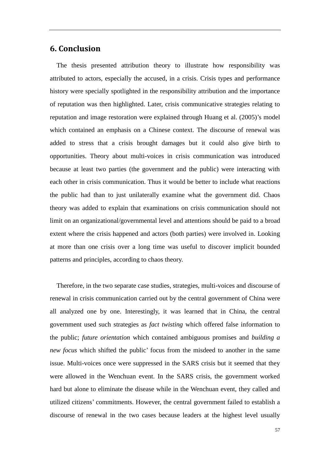## **6. Conclusion**

 The thesis presented attribution theory to illustrate how responsibility was attributed to actors, especially the accused, in a crisis. Crisis types and performance history were specially spotlighted in the responsibility attribution and the importance of reputation was then highlighted. Later, crisis communicative strategies relating to reputation and image restoration were explained through Huang et al. (2005)'s model which contained an emphasis on a Chinese context. The discourse of renewal was added to stress that a crisis brought damages but it could also give birth to opportunities. Theory about multi-voices in crisis communication was introduced because at least two parties (the government and the public) were interacting with each other in crisis communication. Thus it would be better to include what reactions the public had than to just unilaterally examine what the government did. Chaos theory was added to explain that examinations on crisis communication should not limit on an organizational/governmental level and attentions should be paid to a broad extent where the crisis happened and actors (both parties) were involved in. Looking at more than one crisis over a long time was useful to discover implicit bounded patterns and principles, according to chaos theory.

Therefore, in the two separate case studies, strategies, multi-voices and discourse of renewal in crisis communication carried out by the central government of China were all analyzed one by one. Interestingly, it was learned that in China, the central government used such strategies as *fact twisting* which offered false information to the public; *future orientation* which contained ambiguous promises and *building a new focus* which shifted the public' focus from the misdeed to another in the same issue. Multi-voices once were suppressed in the SARS crisis but it seemed that they were allowed in the Wenchuan event. In the SARS crisis, the government worked hard but alone to eliminate the disease while in the Wenchuan event, they called and utilized citizens' commitments. However, the central government failed to establish a discourse of renewal in the two cases because leaders at the highest level usually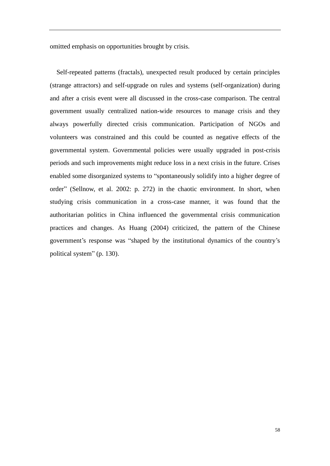omitted emphasis on opportunities brought by crisis.

Self-repeated patterns (fractals), unexpected result produced by certain principles (strange attractors) and self-upgrade on rules and systems (self-organization) during and after a crisis event were all discussed in the cross-case comparison. The central government usually centralized nation-wide resources to manage crisis and they always powerfully directed crisis communication. Participation of NGOs and volunteers was constrained and this could be counted as negative effects of the governmental system. Governmental policies were usually upgraded in post-crisis periods and such improvements might reduce loss in a next crisis in the future. Crises enabled some disorganized systems to "spontaneously solidify into a higher degree of order" (Sellnow, et al. 2002: p. 272) in the chaotic environment. In short, when studying crisis communication in a cross-case manner, it was found that the authoritarian politics in China influenced the governmental crisis communication practices and changes. As Huang (2004) criticized, the pattern of the Chinese government's response was "shaped by the institutional dynamics of the country's political system" (p. 130).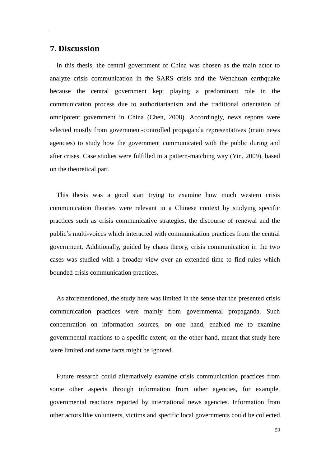## **7. Discussion**

 In this thesis, the central government of China was chosen as the main actor to analyze crisis communication in the SARS crisis and the Wenchuan earthquake because the central government kept playing a predominant role in the communication process due to authoritarianism and the traditional orientation of omnipotent government in China (Chen, 2008). Accordingly, news reports were selected mostly from government-controlled propaganda representatives (main news agencies) to study how the government communicated with the public during and after crises. Case studies were fulfilled in a pattern-matching way (Yin, 2009), based on the theoretical part.

This thesis was a good start trying to examine how much western crisis communication theories were relevant in a Chinese context by studying specific practices such as crisis communicative strategies, the discourse of renewal and the public's multi-voices which interacted with communication practices from the central government. Additionally, guided by chaos theory, crisis communication in the two cases was studied with a broader view over an extended time to find rules which bounded crisis communication practices.

 As aforementioned, the study here was limited in the sense that the presented crisis communication practices were mainly from governmental propaganda. Such concentration on information sources, on one hand, enabled me to examine governmental reactions to a specific extent; on the other hand, meant that study here were limited and some facts might be ignored.

Future research could alternatively examine crisis communication practices from some other aspects through information from other agencies, for example, governmental reactions reported by international news agencies. Information from other actors like volunteers, victims and specific local governments could be collected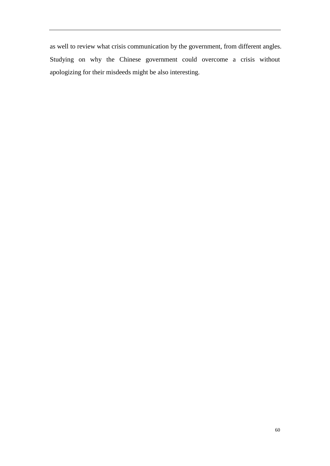as well to review what crisis communication by the government, from different angles. Studying on why the Chinese government could overcome a crisis without apologizing for their misdeeds might be also interesting.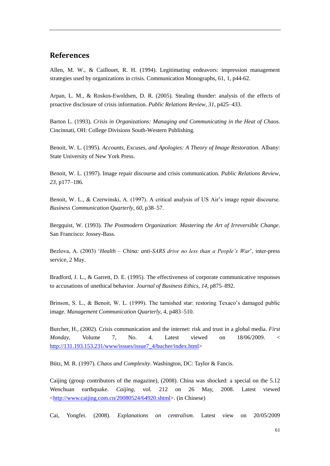### **References**

Allen, M. W., & Caillouet, R. H. (1994). Legitimating endeavors: impression management strategies used by organizations in crisis. Communication Monographs, 61, 1, p44-62.

Arpan, L. M., & Roskos-Ewoldsen, D. R. (2005). Stealing thunder: analysis of the effects of proactive disclosure of crisis information. *Public Relations Review*, *31*, p425–433.

Barton L. (1993). *Crisis in Organizations: Managing and Communicating in the Heat of Chaos*. Cincinnati, OH: College Divisions South-Western Publishing.

Benoit, W. L. (1995). *Accounts, Excuses, and Apologies: A Theory of Image Restoration.* Albany: State University of New York Press.

Benoit, W. L. (1997). Image repair discourse and crisis communication. *Public Relations Review*, *23*, p177–186.

Benoit, W. L., & Czerwinski, A. (1997). A critical analysis of US Air's image repair discourse. *Business Communication Quarterly*, *60*, p38–57.

Bergquist, W. (1993). *The Postmodern Organization: Mastering the Art of Irreversible Change*. San Francisco: Jossey-Bass.

Bezlova, A. (2003) ‗*Health – China: anti-SARS drive no less than a People's War*', inter-press service, 2 May.

Bradford, J. L., & Garrett, D. E. (1995). The effectiveness of corporate communicative responses to accusations of unethical behavior. *Journal of Business Ethics*, *14*, p875–892.

Brinson, S. L., & Benoit, W. L. (1999). The tarnished star: restoring Texaco's damaged public image. *Management Communication Quarterly*, 4, p483–510.

Burcher, H., (2002). Crisis communication and the internet: risk and trust in a global media. *First Monday*, Volume 7, No. 4. Latest viewed on 18/06/2009. < [http://131.193.153.231/www/issues/issue7\\_4/bucher/index.html>](http://131.193.153.231/www/issues/issue7_4/bucher/index.html)

Bütz, M. R. (1997). *Chaos and Complexity*. Washington, DC: Taylor & Fancis.

Caijing (group contributors of the magazine), (2008). China was shocked: a special on the 5.12 Wenchuan earthquake. *Caijing,* vol. 212 on 26 May, 2008. Latest viewed [<http://www.caijing.com.cn/20080524/64920.shtml>](http://www.caijing.com.cn/20080524/64920.shtml). (in Chinese)

Cai, Yongfei. (2008). *Explanations on centralism*. Latest view on 20/05/2009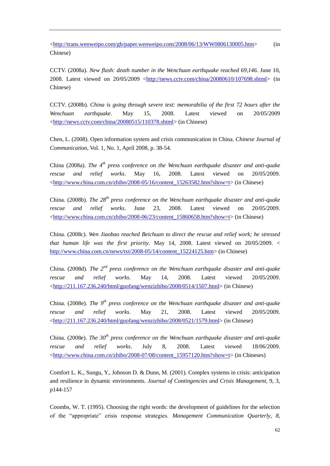[<http://trans.wenweipo.com/gb/paper.wenweipo.com/2008/06/13/WW0806130005.htm>](http://trans.wenweipo.com/gb/paper.wenweipo.com/2008/06/13/WW0806130005.htm) (in Chinese)

CCTV. (2008a). *New flash: death number in the Wenchuan earthquake reached 69,146*. June 10, 2008. Latest viewed on 20/05/2009 [<http://news.cctv.com/china/20080610/107698.shtml>](http://news.cctv.com/china/20080610/107698.shtml) (in Chinese)

CCTV. (2008b). *China is going through severe test: memorabilia of the first 72 hours after the Wenchuan earthquake*. May 15, 2008. Latest viewed on 20/05/2009 [<http://news.cctv.com/china/20080515/110378.shtml>](http://news.cctv.com/china/20080515/110378.shtml) (in Chinese)

Chen, L. (2008). Open information system and crisis communication in China. *Chinese Journal of Communication*, Vol. 1, No. 1, April 2008, p. 38-54.

China (2008a). *The 4th press conference on the Wenchuan earthquake disaster and anti-quake rescue and relief works*. May 16, 2008. Latest viewed on 20/05/2009. [<http://www.china.com.cn/zhibo/2008-05/16/content\\_15263582.htm?show=t>](http://www.china.com.cn/zhibo/2008-05/16/content_15263582.htm?show=t) (in Chinese)

China. (2008b). *The 28th press conference on the Wenchuan earthquake disaster and anti-quake rescue and relief works*. June 23, 2008. Latest viewed on 20/05/2009. [<http://www.china.com.cn/zhibo/2008-06/23/content\\_15860658.htm?show=t>](http://www.china.com.cn/zhibo/2008-06/23/content_15860658.htm?show=t) (in Chinese)

China. (2008c). *Wen Jiaobao reached Beichuan to direct the rescue and relief work; he stressed that human life was the first priority*. May 14, 2008. Latest viewed on 20/05/2009. < [http://www.china.com.cn/news/txt/2008-05/14/content\\_15224125.htm>](http://www.china.com.cn/news/txt/2008-05/14/content_15224125.htm) (in Chinese)

China. (2008d). *The 2nd press conference on the Wenchuan earthquake disaster and anti-quake rescue and relief works*. May 14, 2008. Latest viewed 20/05/2009.  $\langle$ http://211.167.236.240/html/guofang/wenzizhibo/2008/0514/1507.html> (in Chinese)

China. (2008e). *The 9th press conference on the Wenchuan earthquake disaster and anti-quake rescue and relief works*. May 21, 2008. Latest viewed 20/05/2009. [<http://211.167.236.240/html/guofang/wenzizhibo/2008/0521/1579.html>](http://211.167.236.240/html/guofang/wenzizhibo/2008/0521/1579.html) (in Chinese)

China. (2008e). *The 30th press conference on the Wenchuan earthquake disaster and anti-quake rescue and relief works*. July 8, 2008. Latest viewed 18/06/2009. [<http://www.china.com.cn/zhibo/2008-07/08/content\\_15957120.htm?show=t>](http://www.china.com.cn/zhibo/2008-07/08/content_15957120.htm?show=t) (in Chineses)

Comfort L. K., Sungu, Y., Johnson D. & Dunn, M. (2001). Complex systems in crisis: anticipation and resilience in dynamic environments. *Journal of Contingencies and Crisis Management*, 9, 3, p144-157

Coombs, W. T. (1995). Choosing the right words: the development of guidelines for the selection of the "appropriate" crisis response strategies. *Management Communication Quarterly*, 8,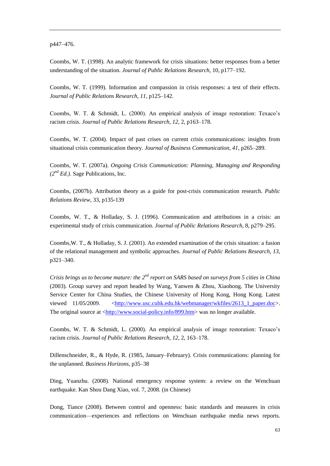p447–476.

Coombs, W. T. (1998). An analytic framework for crisis situations: better responses from a better understanding of the situation. *Journal of Public Relations Research,* 10, p177–192.

Coombs, W. T. (1999). Information and compassion in crisis responses: a test of their effects. *Journal of Public Relations Research*, *11*, p125–142.

Coombs, W. T. & Schmidt, L. (2000). An empirical analysis of image restoration: Texaco's racism crisis. *Journal of Public Relations Research, 12*, 2, p163–178.

Coombs, W. T. (2004). Impact of past crises on current crisis communications: insights from situational crisis communication theory. *Journal of Business Communication*, *41*, p265–289.

Coombs, W. T. (2007a). *Ongoing Crisis Communication: Planning, Managing and Responding (2nd Ed.)*. Sage Publications, Inc.

Coombs, (2007b). Attribution theory as a guide for post-crisis communication research. *Public Relations Review,* 33, p135-139

Coombs, W. T., & Holladay, S. J. (1996). Communication and attributions in a crisis: an experimental study of crisis communication. *Journal of Public Relations Research*, 8, p279–295.

Coombs,W. T., & Holladay, S. J. (2001). An extended examination of the crisis situation: a fusion of the relational management and symbolic approaches. *Journal of Public Relations Research*, *13*, p321–340.

*Crisis brings us to become mature: the 2nd report on SARS based on surveys from 5 cities in China* (2003). Group survey and report headed by Wang, Yanwen & Zhou, Xiaohong. The University Service Center for China Studies, the Chinese University of Hong Kong, Hong Kong. Latest viewed 11/05/2009. [<http://www.usc.cuhk.edu.hk/webmanager/wkfiles/2613\\_1\\_paper.doc>](http://www.usc.cuhk.edu.hk/webmanager/wkfiles/2613_1_paper.doc). The original source at [<http://www.social-policy.info/899.htm>](http://www.social-policy.info/899.htm) was no longer available.

Coombs, W. T. & Schmidt, L. (2000). An empirical analysis of image restoration: Texaco's racism crisis. *Journal of Public Relations Research, 12*, 2, 163–178.

Dillenschneider, R., & Hyde, R. (1985, January–February). Crisis communications: planning for the unplanned. *Business Horizons*, p35–38

Ding, Yuanzhu. (2008). National emergency response system: a review on the Wenchuan earthquake. Kan Shou Dang Xiao, vol. 7, 2008. (in Chinese)

Dong, Tiance (2008). Between control and openness: basic standards and measures in crisis communication—experiences and reflections on Wenchuan earthquake media news reports.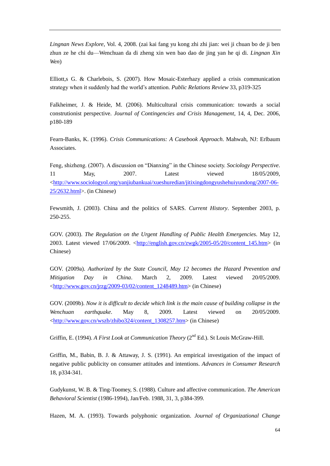*Lingnan News Explore*, Vol. 4, 2008. (zai kai fang yu kong zhi zhi jian: wei ji chuan bo de ji ben zhun ze he chi du—Wenchuan da di zheng xin wen bao dao de jing yan he qi di. *Lingnan Xin Wen*)

Elliott,s G. & Charlebois, S. (2007). How Mosaic-Esterhazy applied a crisis communication strategy when it suddenly had the world's attention. *Public Relations Review* 33, p319-325

Falkheimer, J. & Heide, M. (2006). Multicultural crisis communication: towards a social construtionist perspective. *Journal of Contingencies and Crisis Management*, 14, 4, Dec. 2006, p180-189

Fearn-Banks, K. (1996). *Crisis Communications: A Casebook Approach*. Mahwah, NJ: Erlbaum Associates.

Feng, shizheng. (2007). A discussion on "Dianxing" in the Chinese society. *Sociology Perspective*. 11 May, 2007. Latest viewed 18/05/2009, [<http://www.sociologyol.org/yanjiubankuai/xueshuredian/jitixingdongyushehuiyundong/2007-06-](http://www.sociologyol.org/yanjiubankuai/xueshuredian/jitixingdongyushehuiyundong/2007-06-25/2632.html) [25/2632.html>](http://www.sociologyol.org/yanjiubankuai/xueshuredian/jitixingdongyushehuiyundong/2007-06-25/2632.html). (in Chinese)

Fewsmith, J. (2003). China and the politics of SARS. *Current History*. September 2003, p. 250-255.

GOV. (2003). *The Regulation on the Urgent Handling of Public Health Emergencies.* May 12, 2003. Latest viewed 17/06/2009. [<http://english.gov.cn/zwgk/2005-05/20/content\\_145.htm>](http://english.gov.cn/zwgk/2005-05/20/content_145.htm) (in Chinese)

GOV. (2009a). *Authorized by the State Council, May 12 becomes the Hazard Prevention and Mitigation Day in China*. March 2, 2009. Latest viewed 20/05/2009. [<http://www.gov.cn/jrzg/2009-03/02/content\\_1248489.htm>](http://www.gov.cn/jrzg/2009-03/02/content_1248489.htm) (in Chinese)

GOV. (2009b). *Now it is difficult to decide which link is the main cause of building collapse in the Wenchuan earthquake*. May 8, 2009. Latest viewed on 20/05/2009. [<http://www.gov.cn/wszb/zhibo324/content\\_1308257.htm>](http://www.gov.cn/wszb/zhibo324/content_1308257.htm) (in Chinese)

Griffin, E. (1994). *A First Look at Communication Theory* (2<sup>nd</sup> Ed.). St Louis McGraw-Hill.

Griffin, M., Babin, B. J. & Attaway, J. S. (1991). An empirical investigation of the impact of negative public publicity on consumer attitudes and intentions. *Advances in Consumer Research* 18, p334-341.

Gudykunst, W. B. & Ting-Toomey, S. (1988). Culture and affective communication. *The American Behavioral Scientist* (1986-1994), Jan/Feb. 1988, 31, 3, p384-399.

Hazen, M. A. (1993). Towards polyphonic organization. *Journal of Organizational Change*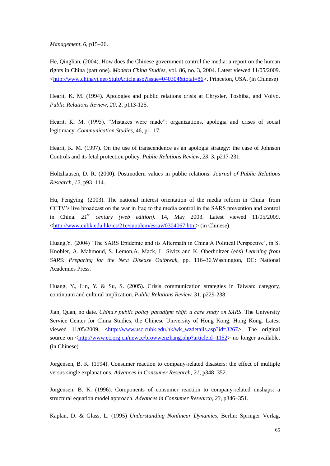*Management*, *6*, p15–26.

He, Qinglian, (2004). How does the Chinese government control the media: a report on the human rights in China (part one). *Modern China Studies*, vol. 86, no. 3, 2004. Latest viewed 11/05/2009. [<http://www.chinayj.net/StubArticle.asp?issue=040304&total=86>](http://www.chinayj.net/StubArticle.asp?issue=040304&total=86). Princeton, USA. (in Chinese)

Hearit, K. M. (1994). Apologies and public relations crisis at Chrysler, Toshiba, and Volvo. *Public Relations Review*, *20*, 2, p113-125.

Hearit, K. M. (1995). "Mistakes were made": organizations, apologia and crises of social legitimacy. *Communication Studies*, 46, p1–17.

Hearit, K. M. (1997). On the use of transcendence as an apologia strategy: the case of Johnson Controls and its fetal protection policy. *Public Relations Review*, *23*, 3, p217-231.

Holtzhausen, D. R. (2000). Postmodern values in public relations. *Journal of Public Relations Research*, *12*, p93–114.

Hu, Fengying. (2003). The national interest orientation of the media reform in China: from CCTV's live broadcast on the war in Iraq to the media control in the SARS prevention and control in China. *21st century (web edition)*. 14, May 2003. Latest viewed 11/05/2009, [<http://www.cuhk.edu.hk/ics/21c/supplem/essay/0304067.htm>](http://www.cuhk.edu.hk/ics/21c/supplem/essay/0304067.htm) (in Chinese)

Huang, Y. (2004) 'The SARS Epidemic and its Aftermath in China:A Political Perspective', in S. Knobler, A. Mahmoud, S. Lemon,A. Mack, L. Sivitz and K. Oberholtzer (eds) *Learning from SARS: Preparing for the Next Disease Outbreak,* pp. 116–36.Washington, DC: National Academies Press.

Huang, Y., Lin, Y. & Su, S. (2005). Crisis communication strategies in Taiwan: category, continuum and cultural implication. *Public Relations Review,* 31, p229-238.

Jian, Quan, no date. *China's public policy paradigm shift: a case study on SARS*. The University Service Center for China Studies, the Chinese University of Hong Kong, Hong Kong. Latest viewed 11/05/2009. [<http://www.usc.cuhk.edu.hk/wk\\_wzdetails.asp?id=3267>](http://www.usc.cuhk.edu.hk/wk_wzdetails.asp?id=3267). The original source on [<http://www.cc.org.cn/newcc/browwenzhang.php?articleid=1152>](http://www.cc.org.cn/newcc/browwenzhang.php?articleid=1152) no longer available. (in Chinese)

Jorgensen, B. K. (1994). Consumer reaction to company-related disasters: the effect of multiple versus single explanations. *Advances in Consumer Research*, *21*, p348–352.

Jorgensen, B. K. (1996). Components of consumer reaction to company-related mishaps: a structural equation model approach. *Advances in Consumer Research*, *23*, p346–351.

Kaplan, D. & Glass, L. (1995) *Understanding Nonlinear Dynamics*. Berlin: Springer Verlag,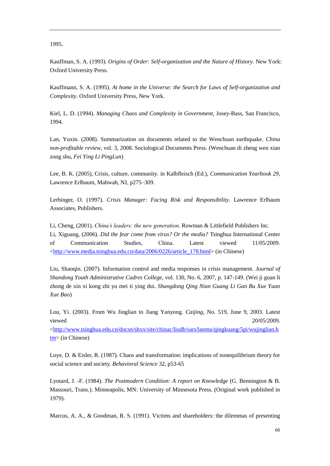1995.

Kauffman, S. A. (1993). *Origins of Order: Self-organization and the Nature of History*. New York: Oxford University Press.

Kauffmann, S. A. (1995). *At home in the Universe: the Search for Laws of Self-organization and Complexity*. Oxford University Press, New York.

Kiel, L. D. (1994). *Managing Chaos and Complexity in Government*, Josey-Bass, San Francisco, 1994.

Lan, Yuxin. (2008). Summarization on documents related to the Wenchuan earthquake. *China non-profitable review*, vol. 3, 2008. Sociological Documents Press. (Wenchuan di zheng wen xian zong shu, *Fei Ying Li PingLun*)

Lee, B. K. (2005), Crisis, culture, community. in Kalbfleisch (Ed.), *Communication Yearbook 29*, Lawrence Erlbaum, Mahwah, NJ, p275–309.

Lerbinger, O. (1997). *Crisis Manager: Facing Risk and Responsibility*. Lawrence Erlbaum Associates, Publishers.

Li, Cheng, (2001). *China's leaders: the new generation*. Rowman & Littlefield Publishers Inc. Li, Xiguang, (2006). *Did the fear come from virus? Or the media?* Tsinghua International Center of Communication Studies, China. Latest viewed 11/05/2009. [<http://www.media.tsinghua.edu.cn/data/2006/0226/article\\_178.html>](http://www.media.tsinghua.edu.cn/data/2006/0226/article_178.html) (in Chinese)

Liu, Shaoqin. (2007). Information control and media responses in crisis management. *Journal of Shandong Youth Administrative Cadres College*, vol. 130, No. 6, 2007, p. 147-149. (Wei ji guan li zhong de xin xi kong zhi yu mei ti ying dui. *Shangdong Qing Nian Guang Li Gan Bu Xue Yuan Xue Bao*)

Lou, Yi. (2003). From Wu Jinglian to Jiang Yanyong. *Caijing*, No. 519, June 9, 2003. Latest viewed 20/05/2009.

[<http://www.tsinghua.edu.cn/docsn/shxx/site/chinac/liudb/sars/lanmu/qingkuang/5pi/wujinglian.h](http://www.tsinghua.edu.cn/docsn/shxx/site/chinac/liudb/sars/lanmu/qingkuang/5pi/wujinglian.htm) [tm>](http://www.tsinghua.edu.cn/docsn/shxx/site/chinac/liudb/sars/lanmu/qingkuang/5pi/wujinglian.htm) (in Chinese)

Loye, D. & Eisler, R. (1987). Chaos and transformation: implications of nonequilibrium theory for social science and society. *Behavioral Science* 32, p53-65

Lyotard, J. -F. (1984). *The Postmodern Condition: A report on Knowledge* (G. Bennington & B. Massouri, Trans.). Minneapolis, MN: University of Minnesota Press. (Original work published in 1979).

Marcus, A. A., & Goodman, R. S. (1991). Victims and shareholders: the dilemmas of presenting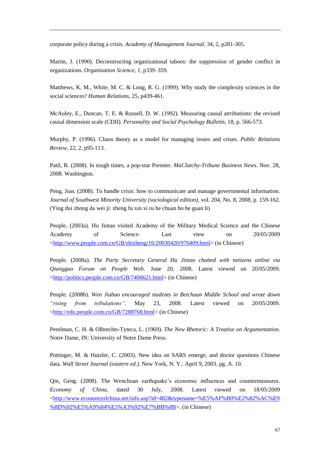corporate policy during a crisis. *Academy of Management Journal*, 34, 2, p281-305.

Martin, J. (1990). Deconstructing organizational taboos: the suppression of gender conflict in organizations. *Organization Science*, *1*, p339–359.

Matthews, K. M., White, M. C. & Long, R. G. (1999). Why study the complexity sciences in the social sciences? *Human Relations*, 25, p439-461.

McAuley, E., Duncan, T. E. & Russell, D. W. (1992). Measuring causal atrributions: the revised causal dimension scale (CDII). *Personality and Social Psychology Bulletin*, 18, p. 566-573.

Murphy, P. (1996). Chaos theory as a model for managing issues and crises. *Public Relations Review*, 22, 2, p95-113.

Patil, R. (2008). In tough times, a pop-star Premier. *MaClatchy-Tribune Business News*. Nov. 28, 2008. Washington.

Peng, Jian. (2008). To handle crisis: how to communicate and manage governmental information. *Journal of Southwest Minority University (sociological edition)*, vol. 204, No. 8, 2008, p. 159-162. (Ying dui zhong da wei ji: zheng fu xin xi ru he chuan bo he guan li)

People, (2003a). Hu Jintao visited Academy of the Military Medical Science and the Chinese Academy of Science. Last view on  $20/05/2009$ [<http://www.people.com.cn/GB/shizheng/16/20030420/976409.html>](http://www.people.com.cn/GB/shizheng/16/20030420/976409.html) (in Chinese)

People. (2008a). *The Party Secretary General Hu Jintao chatted with netizens online via Qiangguo Forum on People Web*. June 20, 2008. Latest viewed on 20/05/2009. [<http://politics.people.com.cn/GB/7406621.html>](http://politics.people.com.cn/GB/7406621.html) (in Chinese)

People. (2008b). *Wen Jiabao encouraged students in Beichuan Middle School and wrote down ―rising from tribulations‖*. May 23, 2008. Latest viewed on 20/05/2009. [<http://edu.people.com.cn/GB/7288768.html>](http://edu.people.com.cn/GB/7288768.html) (in Chinese)

Perelman, C. H. & Olbrechts-Tyteca, L. (1969). *The New Rhetoric: A Treatise on Argumentation*. Notre Dame, IN: University of Notre Dame Press.

Pottinger, M. & Hutzler, C. (2003). New idea on SARS emerge, and doctor questions Chinese data. *Wall Street Journal (eastern ed.)*. New York, N. Y.: April 9, 2003. pg. A. 10.

Qin, Geng. (2008). The Wenchuan earthquake's economic influences and countermeasures. *Economy of China*, dated 30 July, 2008. Latest viewed on 18/05/2009 [<http://www.economyofchina.net/info.asp?id=482&typename=%E5%AF%B0%E2%82%AC%E9](http://www.economyofchina.net/info.asp?id=482&typename=%E5%AF%B0%E2%82%AC%E9%8D%92%E5%A9%84%E5%A3%92%E7%BB%8B) [%8D%92%E5%A9%84%E5%A3%92%E7%BB%8B>](http://www.economyofchina.net/info.asp?id=482&typename=%E5%AF%B0%E2%82%AC%E9%8D%92%E5%A9%84%E5%A3%92%E7%BB%8B). (in Chinese)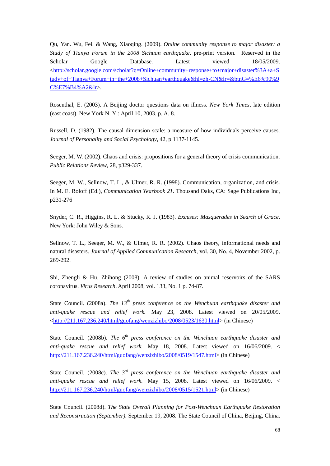Qu, Yan. Wu, Fei. & Wang, Xiaoqing. (2009). *Online community response to major disaster: a Study of Tianya Forum in the 2008 Sichuan earthquake*, pre-print version. Reserved in the Scholar Google Database. Latest viewed 18/05/2009. [<http://scholar.google.com/scholar?q=Online+community+response+to+major+disaster%3A+a+S](http://scholar.google.com/scholar?q=Online+community+response+to+major+disaster%3A+a+Study+of+Tianya+Forum+in+the+2008+Sichuan+earthquake&hl=zh-CN&lr=&btnG=%E6%90%9C%E7%B4%A2&lr) [tudy+of+Tianya+Forum+in+the+2008+Sichuan+earthquake&hl=zh-CN&lr=&btnG=%E6%90%9](http://scholar.google.com/scholar?q=Online+community+response+to+major+disaster%3A+a+Study+of+Tianya+Forum+in+the+2008+Sichuan+earthquake&hl=zh-CN&lr=&btnG=%E6%90%9C%E7%B4%A2&lr) [C%E7%B4%A2&lr>](http://scholar.google.com/scholar?q=Online+community+response+to+major+disaster%3A+a+Study+of+Tianya+Forum+in+the+2008+Sichuan+earthquake&hl=zh-CN&lr=&btnG=%E6%90%9C%E7%B4%A2&lr).

Rosenthal, E. (2003). A Beijing doctor questions data on illness. *New York Times*, late edition (east coast). New York N. Y.: April 10, 2003. p. A. 8.

Russell, D. (1982). The causal dimension scale: a measure of how individuals perceive causes. *Journal of Personality and Social Psychology*, 42, p 1137-1145.

Seeger, M. W. (2002). Chaos and crisis: propositions for a general theory of crisis communication. *Public Relations Review*, 28, p329-337.

Seeger, M. W., Sellnow, T. L., & Ulmer, R. R. (1998). Communication, organization, and crisis. In M. E. Roloff (Ed.), *Communication Yearbook 21*. Thousand Oaks, CA: Sage Publications Inc, p231-276

Snyder, C. R., Higgins, R. L. & Stucky, R. J. (1983). *Excuses: Masquerades in Search of Grace*. New York: John Wiley & Sons.

Sellnow, T. L., Seeger, M. W., & Ulmer, R. R. (2002). Chaos theory, informational needs and natural disasters. *Journal of Applied Communication Research*, vol. 30, No. 4, November 2002, p. 269-292.

Shi, Zhengli & Hu, Zhihong (2008). A review of studies on animal reservoirs of the SARS coronavirus. *Virus Research*. April 2008, vol. 133, No. 1 p. 74-87.

State Council. (2008a). *The 13th press conference on the Wenchuan earthquake disaster and anti-quake rescue and relief work.* May 23, 2008. Latest viewed on 20/05/2009. [<http://211.167.236.240/html/guofang/wenzizhibo/2008/0523/1630.html>](http://211.167.236.240/html/guofang/wenzizhibo/2008/0523/1630.html) (in Chinese)

State Council. (2008b). *The 6<sup>th</sup> press conference on the Wenchuan earthquake disaster and anti-quake rescue and relief work.* May 18, 2008. Latest viewed on 16/06/2009. < [http://211.167.236.240/html/guofang/wenzizhibo/2008/0519/1547.html>](http://211.167.236.240/html/guofang/wenzizhibo/2008/0519/1547.html) (in Chinese)

State Council. (2008c). *The 3<sup>rd</sup> press conference on the Wenchuan earthquake disaster and anti-quake rescue and relief work.* May 15, 2008. Latest viewed on 16/06/2009. < [http://211.167.236.240/html/guofang/wenzizhibo/2008/0515/1521.html>](http://211.167.236.240/html/guofang/wenzizhibo/2008/0515/1521.html) (in Chinese)

State Council. (2008d). *The State Overall Planning for Post-Wenchuan Earthquake Restoration and Reconstruction (September).* September 19, 2008. The State Council of China, Beijing, China.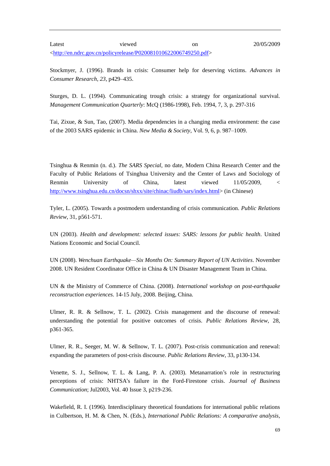Latest viewed on 20/05/2009 [<http://en.ndrc.gov.cn/policyrelease/P020081010622006749250.pdf>](http://en.ndrc.gov.cn/policyrelease/P020081010622006749250.pdf)

Stockmyer, J. (1996). Brands in crisis: Consumer help for deserving victims. *Advances in Consumer Research*, *23*, p429–435.

Sturges, D. L. (1994). Communicating trough crisis: a strategy for organizational survival. *Management Communication Quarterly*: McQ (1986-1998), Feb. 1994, 7, 3, p. 297-316

Tai, Zixue, & Sun, Tao, (2007). Media dependencies in a changing media environment: the case of the 2003 SARS epidemic in China. *New Media & Society*, Vol. 9, 6, p. 987–1009.

Tsinghua & Renmin (n. d.). *The SARS Special*, no date, Modern China Research Center and the Faculty of Public Relations of Tsinghua University and the Center of Laws and Sociology of Renmin University of China, latest viewed 11/05/2009, < [http://www.tsinghua.edu.cn/docsn/shxx/site/chinac/liudb/sars/index.html>](http://www.tsinghua.edu.cn/docsn/shxx/site/chinac/liudb/sars/index.html) (in Chinese)

Tyler, L. (2005). Towards a postmodern understanding of crisis communication. *Public Relations Review*, 31, p561-571.

UN (2003). *Health and development: selected issues: SARS: lessons for public health*. United Nations Economic and Social Council.

UN (2008). *Wenchuan Earthquake—Six Months On: Summary Report of UN Activities*. November 2008. UN Resident Coordinator Office in China & UN Disaster Management Team in China.

UN & the Ministry of Commerce of China. (2008). *International workshop on post-earthquake reconstruction experiences*. 14-15 July, 2008. Beijing, China.

Ulmer, R. R. & Sellnow, T. L. (2002). Crisis management and the discourse of renewal: understanding the potential for positive outcomes of crisis. *Public Relations Review*, 28, p361-365.

Ulmer, R. R., Seeger, M. W. & Sellnow, T. L. (2007). Post-crisis communication and renewal: expanding the parameters of post-crisis discourse. *Public Relations Review*, 33, p130-134.

Venette, S. J., Sellnow, T. L. & Lang, P. A. (2003). Metanarration's role in restructuring perceptions of crisis: NHTSA's failure in the Ford-Firestone crisis. *Journal of Business Communication*; Jul2003, Vol. 40 Issue 3, p219-236.

Wakefield, R. I. (1996). Interdisciplinary theoretical foundations for international public relations in Culbertson, H. M. & Chen, N. (Eds.), *International Public Relations: A comparative analysis*,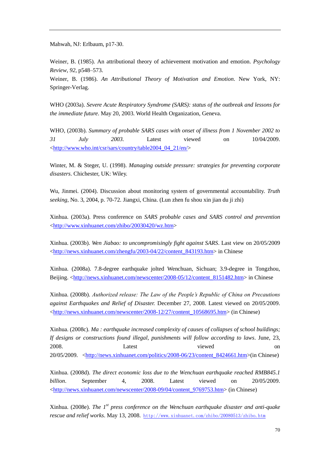Mahwah, NJ: Erlbaum, p17-30.

Weiner, B. (1985). An attributional theory of achievement motivation and emotion. *Psychology Review*, *92*, p548–573.

Weiner, B. (1986). *An Attributional Theory of Motivation and Emotion*. New York, NY: Springer-Verlag.

WHO (2003a). *Severe Acute Respiratory Syndrome (SARS): status of the outbreak and lessons for the immediate future*. May 20, 2003. World Health Organization, Geneva.

WHO, (2003b). *Summary of probable SARS cases with onset of illness from 1 November 2002 to 31 July 2003.* Latest viewed on 10/04/2009. [<http://www.who.int/csr/sars/country/table2004\\_04\\_21/en/>](http://www.who.int/csr/sars/country/table2004_04_21/en/)

Winter, M. & Steger, U. (1998). *Managing outside pressure: strategies for preventing corporate disasters*. Chichester, UK: Wiley.

Wu, Jinmei. (2004). Discussion about monitoring system of governmental accountability. *Truth seeking*, No. 3, 2004, p. 70-72. Jiangxi, China. (Lun zhen fu shou xin jian du ji zhi)

Xinhua. (2003a). Press conference on *SARS probable cases and SARS control and prevention* [<http://www.xinhuanet.com/zhibo/20030420/wz.htm>](http://www.xinhuanet.com/zhibo/20030420/wz.htm)

Xinhua. (2003b). *Wen Jiabao: to uncompromisingly fight against SARS*. Last view on 20/05/2009 [<http://news.xinhuanet.com/zhengfu/2003-04/22/content\\_843193.htm>](http://news.xinhuanet.com/zhengfu/2003-04/22/content_843193.htm) in Chinese

Xinhua. (2008a). 7.8-degree earthquake jolted Wenchuan, Sichuan; 3.9-degree in Tongzhou, Beijing. [<http://news.xinhuanet.com/newscenter/2008-05/12/content\\_8151482.htm>](http://news.xinhuanet.com/newscenter/2008-05/12/content_8151482.htm) in Chinese

Xinhua. (2008b). *Authorized release: The Law of the People's Republic of China on Precautions against Earthquakes and Relief of Disaster.* December 27, 2008. Latest viewed on 20/05/2009. [<http://news.xinhuanet.com/newscenter/2008-12/27/content\\_10568695.htm>](http://news.xinhuanet.com/newscenter/2008-12/27/content_10568695.htm) (in Chinese)

Xinhua. (2008c). *Ma : earthquake increased complexity of causes of collapses of school buildings; If designs or constructions found illegal, punishments will follow according to laws*. June, 23, 2008. Latest viewed on 20/05/2009. [<http://news.xinhuanet.com/politics/2008-06/23/content\\_8424661.htm>](http://news.xinhuanet.com/politics/2008-06/23/content_8424661.htm)(in Chinese)

Xinhua. (2008d). *The direct economic loss due to the Wenchuan earthquake reached RMB845.1 billion*. September 4, 2008. Latest viewed on 20/05/2009. [<http://news.xinhuanet.com/newscenter/2008-09/04/content\\_9769753.htm>](http://news.xinhuanet.com/newscenter/2008-09/04/content_9769753.htm) (in Chinese)

Xinhua. (2008e). *The 1<sup>st</sup> press conference on the Wenchuan earthquake disaster and anti-quake rescue and relief works*. May 13, 2008. <http://www.xinhuanet.com/zhibo/20080513/zhibo.htm>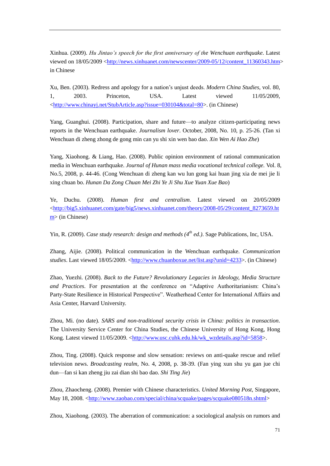Xinhua. (2009). *Hu Jintao's speech for the first anniversary of the Wenchuan earthquake*. Latest viewed on  $18/05/2009 \leq$ http://news.xinhuanet.com/newscenter/2009-05/12/content 11360343.htm> in Chinese

Xu, Ben. (2003). Redress and apology for a nation's unjust deeds. *Modern China Studies*, vol. 80, 1, 2003. Princeton, USA. Latest viewed 11/05/2009, [<http://www.chinayj.net/StubArticle.asp?issue=030104&total=80>](http://www.chinayj.net/StubArticle.asp?issue=030104&total=80). (in Chinese)

Yang, Guanghui. (2008). Participation, share and future—to analyze citizen-participating news reports in the Wenchuan earthquake. *Journalism lover*. October, 2008, No. 10, p. 25-26. (Tan xi Wenchuan di zheng zhong de gong min can yu shi xin wen bao dao. *Xin Wen Ai Hao Zhe*)

Yang, Xiaohong. & Liang, Hao. (2008). Public opinion environment of rational communication media in Wenchuan earthquake. *Journal of Hunan mass media vocational technical college.* Vol. 8, No.5, 2008, p. 44-46. (Cong Wenchuan di zheng kan wu lun gong kai huan jing xia de mei jie li xing chuan bo. *Hunan Da Zong Chuan Mei Zhi Ye Ji Shu Xue Yuan Xue Bao*)

Ye, Duchu. (2008). *Human first and centralism*. Latest viewed on 20/05/2009 [<http://big5.xinhuanet.com/gate/big5/news.xinhuanet.com/theory/2008-05/29/content\\_8273659.ht](http://big5.xinhuanet.com/gate/big5/news.xinhuanet.com/theory/2008-05/29/content_8273659.htm) [m>](http://big5.xinhuanet.com/gate/big5/news.xinhuanet.com/theory/2008-05/29/content_8273659.htm) (in Chinese)

Yin, R. (2009). *Case study research: design and methods (4th ed.)*. Sage Publications, Inc, USA.

Zhang, Aijie. (2008). Political communication in the Wenchuan earthquake. *Communication studies*. Last viewed 18/05/2009. [<http://www.chuanboxue.net/list.asp?unid=4233>](http://www.chuanboxue.net/list.asp?unid=4233). (in Chinese)

Zhao, Yuezhi. (2008). *Back to the Future? Revolutionary Legacies in Ideology, Media Structure*  and Practices. For presentation at the conference on "Adaptive Authoritarianism: China's Party-State Resilience in Historical Perspective". Weatherhead Center for International Affairs and Asia Center, Harvard University.

Zhou, Mi. (no date). *SARS and non-traditional security crisis in China: politics in transaction*. The University Service Center for China Studies, the Chinese University of Hong Kong, Hong Kong. Latest viewed 11/05/2009. [<http://www.usc.cuhk.edu.hk/wk\\_wzdetails.asp?id=5858>](http://www.usc.cuhk.edu.hk/wk_wzdetails.asp?id=5858).

Zhou, Ting. (2008). Quick response and slow sensation: reviews on anti-quake rescue and relief television news. *Broadcasting realm*, No. 4, 2008, p. 38-39. (Fan ying xun shu yu gan jue chi dun—fan si kan zheng jiu zai dian shi bao dao. *Shi Ting Jie*)

Zhou, Zhaocheng. (2008). Premier with Chinese characteristics. *United Morning Post*, Singapore, May 18, 2008. [<http://www.zaobao.com/special/china/scquake/pages/scquake080518n.shtml>](http://www.zaobao.com/special/china/scquake/pages/scquake080518n.shtml)

Zhou, Xiaohong. (2003). The aberration of communication: a sociological analysis on rumors and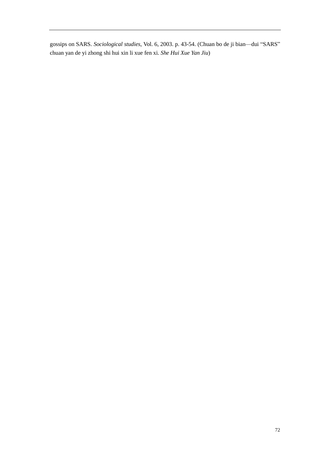gossips on SARS. *Sociological studies*, Vol. 6, 2003. p. 43-54. (Chuan bo de ji bian—dui "SARS" chuan yan de yi zhong shi hui xin li xue fen xi. *She Hui Xue Yan Jiu*)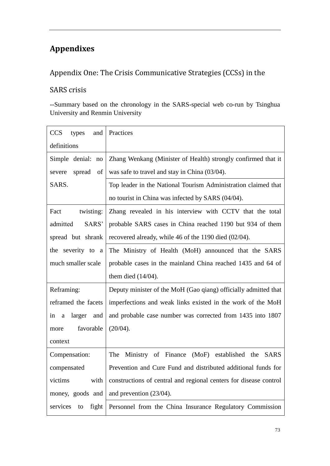# **Appendixes**

## Appendix One: The Crisis Communicative Strategies (CCSs) in the

#### SARS crisis

--Summary based on the chronology in the SARS-special web co-run by Tsinghua University and Renmin University

| <b>CCS</b><br>and<br>types      | Practices                                                         |
|---------------------------------|-------------------------------------------------------------------|
| definitions                     |                                                                   |
| Simple denial: no               | Zhang Wenkang (Minister of Health) strongly confirmed that it     |
| spread<br>$\sigma$ f<br>severe  | was safe to travel and stay in China (03/04).                     |
| SARS.                           | Top leader in the National Tourism Administration claimed that    |
|                                 | no tourist in China was infected by SARS (04/04).                 |
| Fact<br>twisting:               | Zhang revealed in his interview with CCTV that the total          |
| admitted<br>SARS'               | probable SARS cases in China reached 1190 but 934 of them         |
| spread but shrank               | recovered already, while 46 of the 1190 died (02/04).             |
| the severity to a               | The Ministry of Health (MoH) announced that the SARS              |
| much smaller scale              | probable cases in the mainland China reached 1435 and 64 of       |
|                                 | them died $(14/04)$ .                                             |
| Reframing:                      | Deputy minister of the MoH (Gao qiang) officially admitted that   |
| reframed the facets             | imperfections and weak links existed in the work of the MoH       |
| larger<br>and<br>in<br>$\rm{a}$ | and probable case number was corrected from 1435 into 1807        |
| favorable<br>more               | (20/04).                                                          |
| context                         |                                                                   |
| Compensation:                   | (MoF) established the SARS<br>Ministry of Finance<br>The          |
| compensated                     | Prevention and Cure Fund and distributed additional funds for     |
| victims<br>with                 | constructions of central and regional centers for disease control |
| money, goods and                | and prevention (23/04).                                           |
| services<br>fight<br>to         | Personnel from the China Insurance Regulatory Commission          |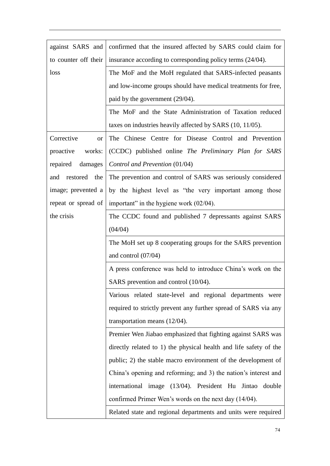| against SARS and     | confirmed that the insured affected by SARS could claim for       |
|----------------------|-------------------------------------------------------------------|
| to counter off their | insurance according to corresponding policy terms (24/04).        |
| loss                 | The MoF and the MoH regulated that SARS-infected peasants         |
|                      | and low-income groups should have medical treatments for free,    |
|                      | paid by the government (29/04).                                   |
|                      | The MoF and the State Administration of Taxation reduced          |
|                      | taxes on industries heavily affected by SARS (10, 11/05).         |
| Corrective<br>or     | The Chinese Centre for Disease Control and Prevention             |
| proactive<br>works:  | (CCDC) published online The Preliminary Plan for SARS             |
| damages<br>repaired  | Control and Prevention (01/04)                                    |
| and restored the     | The prevention and control of SARS was seriously considered       |
| image; prevented a   | by the highest level as "the very important among those           |
| repeat or spread of  | important" in the hygiene work $(02/04)$ .                        |
| the crisis           | The CCDC found and published 7 depressants against SARS           |
|                      | (04/04)                                                           |
|                      | The MoH set up 8 cooperating groups for the SARS prevention       |
|                      | and control $(07/04)$                                             |
|                      | A press conference was held to introduce China's work on the      |
|                      | SARS prevention and control (10/04).                              |
|                      | Various related state-level and regional departments were         |
|                      | required to strictly prevent any further spread of SARS via any   |
|                      | transportation means $(12/04)$ .                                  |
|                      | Premier Wen Jiabao emphasized that fighting against SARS was      |
|                      | directly related to 1) the physical health and life safety of the |
|                      | public; 2) the stable macro environment of the development of     |
|                      | China's opening and reforming; and 3) the nation's interest and   |
|                      | international image (13/04). President Hu Jintao double           |
|                      | confirmed Primer Wen's words on the next day (14/04).             |
|                      | Related state and regional departments and units were required    |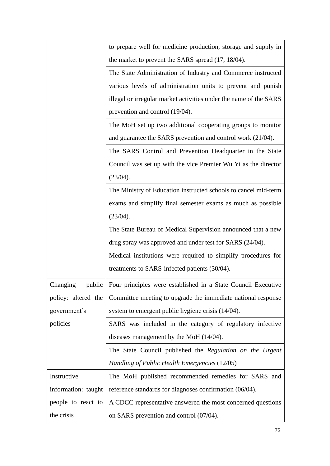|                     | to prepare well for medicine production, storage and supply in    |
|---------------------|-------------------------------------------------------------------|
|                     | the market to prevent the SARS spread (17, 18/04).                |
|                     | The State Administration of Industry and Commerce instructed      |
|                     | various levels of administration units to prevent and punish      |
|                     | illegal or irregular market activities under the name of the SARS |
|                     | prevention and control (19/04).                                   |
|                     | The MoH set up two additional cooperating groups to monitor       |
|                     | and guarantee the SARS prevention and control work (21/04).       |
|                     | The SARS Control and Prevention Headquarter in the State          |
|                     | Council was set up with the vice Premier Wu Yi as the director    |
|                     | (23/04).                                                          |
|                     | The Ministry of Education instructed schools to cancel mid-term   |
|                     | exams and simplify final semester exams as much as possible       |
|                     | (23/04).                                                          |
|                     | The State Bureau of Medical Supervision announced that a new      |
|                     | drug spray was approved and under test for SARS (24/04).          |
|                     | Medical institutions were required to simplify procedures for     |
|                     | treatments to SARS-infected patients (30/04).                     |
| public<br>Changing  | Four principles were established in a State Council Executive     |
| policy: altered the | Committee meeting to upgrade the immediate national response      |
| government's        | system to emergent public hygiene crisis (14/04).                 |
| policies            | SARS was included in the category of regulatory infective         |
|                     | diseases management by the MoH $(14/04)$ .                        |
|                     | The State Council published the Regulation on the Urgent          |
|                     | Handling of Public Health Emergencies (12/05)                     |
| Instructive         | The MoH published recommended remedies for SARS and               |
| information: taught | reference standards for diagnoses confirmation (06/04).           |
| people to react to  | A CDCC representative answered the most concerned questions       |
| the crisis          | on SARS prevention and control (07/04).                           |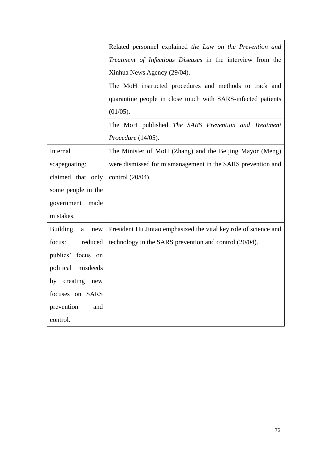|                             | Related personnel explained the Law on the Prevention and        |
|-----------------------------|------------------------------------------------------------------|
|                             | Treatment of Infectious Diseases in the interview from the       |
|                             | Xinhua News Agency (29/04).                                      |
|                             | The MoH instructed procedures and methods to track and           |
|                             | quarantine people in close touch with SARS-infected patients     |
|                             | (01/05).                                                         |
|                             | The MoH published The SARS Prevention and Treatment              |
|                             | Procedure (14/05).                                               |
| Internal                    | The Minister of MoH (Zhang) and the Beijing Mayor (Meng)         |
| scapegoating:               | were dismissed for mismanagement in the SARS prevention and      |
| claimed that only           | control (20/04).                                                 |
| some people in the          |                                                                  |
| government<br>made          |                                                                  |
| mistakes.                   |                                                                  |
| <b>Building</b><br>new<br>a | President Hu Jintao emphasized the vital key role of science and |
| reduced<br>focus:           | technology in the SARS prevention and control (20/04).           |
| publics' focus on           |                                                                  |
| political misdeeds          |                                                                  |
| creating new<br>by          |                                                                  |
| focuses on SARS             |                                                                  |
| prevention<br>and           |                                                                  |
| control.                    |                                                                  |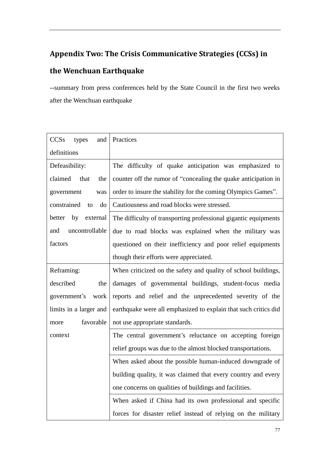## **Appendix Two: The Crisis Communicative Strategies (CCSs) in**

### **the Wenchuan Earthquake**

--summary from press conferences held by the State Council in the first two weeks after the Wenchuan earthquake

| CCSs<br>types<br>and    | Practices                                                       |
|-------------------------|-----------------------------------------------------------------|
| definitions             |                                                                 |
| Defeasibility:          | The difficulty of quake anticipation was emphasized to          |
| claimed<br>that<br>the  | counter off the rumor of "concealing the quake anticipation in  |
| government<br>was       | order to insure the stability for the coming Olympics Games".   |
| constrained<br>do<br>to | Cautiousness and road blocks were stressed.                     |
| better by<br>external   | The difficulty of transporting professional gigantic equipments |
| uncontrollable<br>and   | due to road blocks was explained when the military was          |
| factors                 | questioned on their inefficiency and poor relief equipments     |
|                         | though their efforts were appreciated.                          |
| Reframing:              | When criticized on the safety and quality of school buildings,  |
| described<br>the        | damages of governmental buildings, student-focus media          |
| government's<br>work    | reports and relief and the unprecedented severity of the        |
| limits in a larger and  | earthquake were all emphasized to explain that such critics did |
| favorable<br>more       | not use appropriate standards.                                  |
| context                 | The central government's reluctance on accepting foreign        |
|                         | relief groups was due to the almost blocked transportations.    |
|                         | When asked about the possible human-induced downgrade of        |
|                         | building quality, it was claimed that every country and every   |
|                         | one concerns on qualities of buildings and facilities.          |
|                         | When asked if China had its own professional and specific       |
|                         | forces for disaster relief instead of relying on the military   |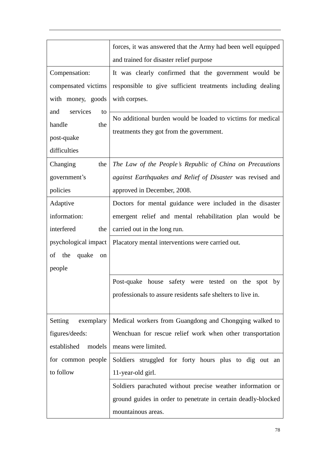|                          | forces, it was answered that the Army had been well equipped  |
|--------------------------|---------------------------------------------------------------|
|                          | and trained for disaster relief purpose                       |
| Compensation:            | It was clearly confirmed that the government would be         |
| compensated victims      | responsible to give sufficient treatments including dealing   |
| with money, goods        | with corpses.                                                 |
| services<br>and<br>to    | No additional burden would be loaded to victims for medical   |
| handle<br>the            | treatments they got from the government.                      |
| post-quake               |                                                               |
| difficulties             |                                                               |
| Changing<br>the          | The Law of the People's Republic of China on Precautions      |
| government's             | against Earthquakes and Relief of Disaster was revised and    |
| policies                 | approved in December, 2008.                                   |
| Adaptive                 | Doctors for mental guidance were included in the disaster     |
| information:             | emergent relief and mental rehabilitation plan would be       |
| interfered<br>the        | carried out in the long run.                                  |
| psychological impact     | Placatory mental interventions were carried out.              |
| the<br>quake<br>of<br>on |                                                               |
| people                   |                                                               |
|                          | Post-quake house<br>safety were tested on the spot<br>by      |
|                          | professionals to assure residents safe shelters to live in.   |
|                          |                                                               |
| Setting<br>exemplary     | Medical workers from Guangdong and Chongqing walked to        |
| figures/deeds:           | Wenchuan for rescue relief work when other transportation     |
| established<br>models    | means were limited.                                           |
| for common people        | Soldiers struggled for forty hours plus to dig out an         |
| to follow                | 11-year-old girl.                                             |
|                          | Soldiers parachuted without precise weather information or    |
|                          | ground guides in order to penetrate in certain deadly-blocked |
|                          | mountainous areas.                                            |